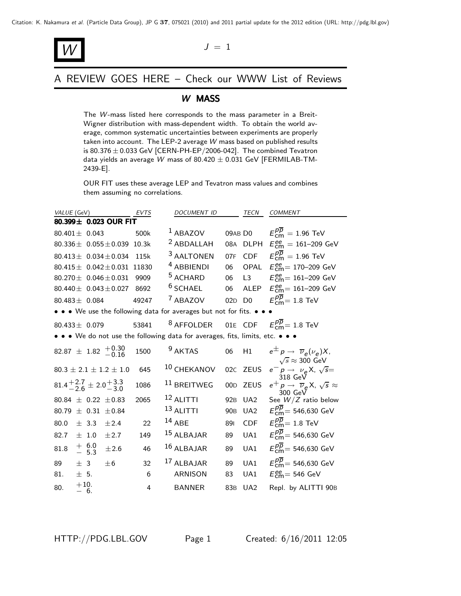

A REVIEW GOES HERE – Check our WWW List of Reviews

### *W* MASS

The *W*-mass listed here corresponds to the mass parameter in a Breit-Wigner distribution with mass-dependent width. To obtain the world average, common systematic uncertainties between experiments are properly taken into account. The LEP-2 average *W* mass based on published results is 80.376  $\pm$  0.033 GeV [CERN-PH-EP/2006-042]. The combined Tevatron data yields an average *W* mass of 80.<sup>420</sup> <sup>±</sup> <sup>0</sup>.031 GeV [FERMILAB-TM-2439-E].

OUR FIT uses these average LEP and Tevatron mass values and combines them assuming no correlations.

| <i>VALUE</i> (GeV)                                                            | EVTS  | DOCUMENT ID                                           |                 | TECN            | <b>COMMENT</b>                                                                          |
|-------------------------------------------------------------------------------|-------|-------------------------------------------------------|-----------------|-----------------|-----------------------------------------------------------------------------------------|
| 80.399± 0.023 OUR FIT                                                         |       |                                                       |                 |                 |                                                                                         |
| 80.401 $\pm$ 0.043                                                            | 500k  | $1$ ABAZOV                                            |                 | 09AB D0         | $E_{\text{cm}}^{pp} = 1.96 \text{ TeV}$                                                 |
| 80.336 $\pm$ 0.055 $\pm$ 0.039                                                | 10.3k | <sup>2</sup> ABDALLAH                                 |                 |                 | 08A DLPH $E_{\text{cm}}^{ee} = 161 - 209 \text{ GeV}$                                   |
| 80.413 $\pm$ 0.034 $\pm$ 0.034                                                | 115k  | <sup>3</sup> AALTONEN                                 | 07F             | CDF             | $E_{\text{cm}}^{pp} = 1.96 \text{ TeV}$                                                 |
| $80.415 \pm 0.042 \pm 0.031$                                                  | 11830 | <sup>4</sup> ABBIENDI                                 | 06              | OPAL            | $E_{\text{cm}}^{\text{ee}} = 170 - 209 \text{ GeV}$                                     |
| 80.270 $\pm$ 0.046 $\pm$ 0.031                                                | 9909  | <sup>5</sup> ACHARD                                   | 06              | L3              | $E_{\text{cm}}^{\text{ee}} = 161 - 209 \text{ GeV}$                                     |
| 80.440 $\pm$ 0.043 $\pm$ 0.027                                                | 8692  | $6$ SCHAEL                                            | 06              | ALEP            | $E_{\text{cm}}^{ee} = 161 - 209 \text{ GeV}$                                            |
| 80.483 $\pm$ 0.084                                                            | 49247 | <sup>7</sup> ABAZOV                                   | 02D D0          |                 | $E_{\text{cm}}^{pp}$ = 1.8 TeV                                                          |
| • • • We use the following data for averages but not for fits. • • •          |       |                                                       |                 |                 |                                                                                         |
| 80.433 $\pm$ 0.079                                                            | 53841 | <sup>8</sup> AFFOLDER 01E CDF $E_{cm}^{pp}$ = 1.8 TeV |                 |                 |                                                                                         |
| • • • We do not use the following data for averages, fits, limits, etc. • • • |       |                                                       |                 |                 |                                                                                         |
| $82.87 \pm 1.82 \begin{array}{c} +0.30 \\ -0.16 \end{array}$                  | 1500  | <sup>9</sup> AKTAS                                    | 06              | H1              | $e^{\pm} p \rightarrow \overline{\nu}_e(\nu_e) X$<br>$\sqrt{s} \approx 300 \text{ GeV}$ |
| $80.3 \pm 2.1 \pm 1.2 \pm 1.0$                                                | 645   | 10 CHEKANOV                                           | 02C             | <b>ZEUS</b>     | $e^- p \rightarrow \nu_e X$ , $\sqrt{s} =$                                              |
| $81.4^{+2.7}_{-2.6} \pm 2.0^{+3.3}_{-3.0}$                                    | 1086  | <sup>11</sup> BREITWEG                                | 00D             | <b>ZEUS</b>     | 318 GeV<br>$e^+ p \rightarrow \overline{\nu}_e X$ , $\sqrt{s} \approx$<br>300 GeV       |
| 80.84 $\pm$ 0.22 $\pm$ 0.83                                                   | 2065  | $12$ ALITTI                                           | 92 <sub>B</sub> | $U_A2$          | See $W/Z$ ratio below                                                                   |
| $\pm$ 0.31 $\pm$ 0.84<br>80.79                                                |       | $13$ ALITTI                                           | 90 <sub>B</sub> | UA <sub>2</sub> | $E_{\text{cm}}^{pp}$ = 546,630 GeV                                                      |
| 80.0<br>$\pm$ 3.3<br>±2.4                                                     | 22    | $14$ ABE                                              | 891             | <b>CDF</b>      | $E_{\text{cm}}^{pp}$ = 1.8 TeV                                                          |
| 82.7<br>$\pm$ 1.0<br>±2.7                                                     | 149   | 15 ALBAJAR                                            | 89              | UA1             | $E_{cm}^{pp}$ = 546,630 GeV                                                             |
| $+6.0$<br>$-5.3$<br>81.8<br>±2.6                                              | 46    | $16$ ALBAJAR                                          | 89              | UA1             | $E_{cm}^{p\overline{p}}$ = 546,630 GeV                                                  |
| 89<br>± 3<br>$\pm 6$                                                          | 32    | $17$ ALBAJAR                                          | 89              | UA1             | $E_{cm}^{pp}$ = 546,630 GeV                                                             |
| 81.<br>$\pm$ 5.                                                               | 6     | <b>ARNISON</b>                                        | 83              | UA1             | $E_{\text{cm}}^{\text{ee}}$ = 546 GeV                                                   |
| $+10.$<br>80.<br>$-6.$                                                        | 4     | <b>BANNER</b>                                         | 83B             | UA <sub>2</sub> | Repl. by ALITTI 90B                                                                     |
|                                                                               |       |                                                       |                 |                 |                                                                                         |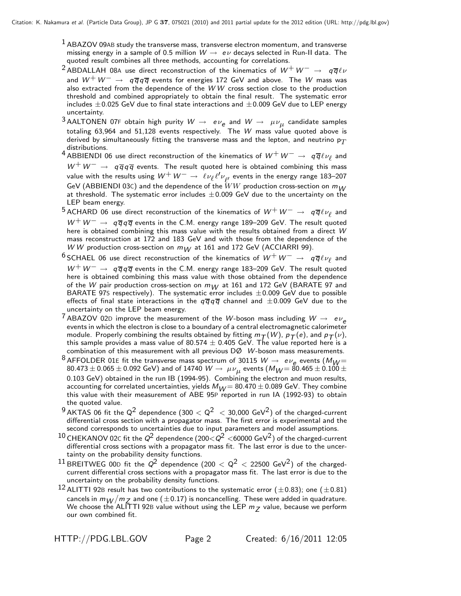$<sup>1</sup>$  ABAZOV 09AB study the transverse mass, transverse electron momentum, and transverse</sup> missing energy in a sample of 0.5 million  $W \rightarrow e \nu$  decays selected in Run-II data. The quoted result combines all three methods, accounting for correlations.

- <sup>2</sup> ABDALLAH 08<sup>A</sup> use direct reconstruction of the kinematics of *W*<sup>+</sup> *W*<sup>−</sup> <sup>→</sup> *q q* ν and *<sup>W</sup>*<sup>+</sup> *<sup>W</sup>*<sup>−</sup> <sup>→</sup> *<sup>q</sup> q q q* events for energies 172 GeV and above. The *W* mass was also extracted from the dependence of the *W W* cross section close to the production threshold and combined appropriately to obtain the final result. The systematic error includes  $\pm 0.025$  GeV due to final state interactions and  $\pm 0.009$  GeV due to LEP energy uncertainty.
- $3$  AALTONEN 07F obtain high purity  $W \rightarrow e \nu_e$  and  $W \rightarrow \mu \nu_\mu$  candidate samples totaling 63,964 and 51,128 events respectively. The *W* mass value quoted above is derived by simultaneously fitting the transverse mass and the lepton, and neutrino  $p_T$ distributions.
- distributions.<br>4 ABBIENDI 06 use direct reconstruction of the kinematics of  $W^+W^-\to q\overline{q}\ell\nu_{\ell}$  and<br> $W^+W^-\to q\overline{q}\sigma\overline{q}$  events. The result quoted here is obtained combining this mass *W*+*W*<sup>−</sup> <sup>→</sup> *q q q q* events. The result quoted here is obtained combining this mass value with the results using  $W^+ \, W^- \to \; \ell \nu_\ell \ell' \nu_{\ell'}$  events in the energy range 183–207<br>GeV (ABBIFNDI 03C) and the dependence of the  $WW$  production cross-section on  $m_W$ GeV (ABBIENDI 03C) and the dependence of the  $\tilde{W}W$  production cross-section on  $m_{10}$ GeV (ABBIENDI 03C) and the dependence of the  $WW$  production cross-section on  $m_{\tilde{W}}$ <br>at threshold. The systematic error includes  $\pm 0.009$  GeV due to the uncertainty on the<br>LEP beam energy LEP beam energy.
- <sup>5</sup> ACHARD 06 use direct reconstruction of the kinematics of  $W^+W^− → q\overline{q}\ell\nu_\ell$  and *W*+*W*<sup>−</sup> <sup>→</sup> *q q q <sup>q</sup>* events in the C.M. energy range 189–209 GeV. The result quoted here is obtained combining this mass value with the results obtained from a direct *W* mass reconstruction at 172 and 183 GeV and with those from the dependence of the *W W* production cross-section on  $m_W$  at 161 and 172 GeV (ACCIARRI 99).
- $6$  SCHAEL 06 use direct reconstruction of the kinematics of  $W^+W^-\to q\overline{q}\ell\nu_\ell$  and *W*+*W*<sup>−</sup> <sup>→</sup> *q q q <sup>q</sup>* events in the C.M. energy range 183–209 GeV. The result quoted here is obtained combining this mass value with those obtained from the dependence of the *W* pair production cross-section on  $m_W$  at 161 and 172 GeV (BARATE 97 and BARATE 97s respectively). The systematic error includes  $\pm 0.009$  GeV due to possible effects of final state interactions in the  $g\overline{g}$ effects of final state interactions in the  $q\overline{q}q\overline{q}$  channel and  $\pm 0.009$  GeV due to the uncertainty on the LEP beam energy.
- <sup>7</sup> ABAZOV 02D improve the measurement of the *W*-boson mass including  $W \rightarrow e \nu_e$  events in which the electron is close to a boundary of a central electromagnetic calorimeter module. Properly combining the results obtained by fitting  $m_T(W)$ ,  $p_T(e)$ , and  $p_T(v)$ , this sample provides a mass value of 80.574  $\pm$  0.405 GeV. The value reported here is a combination of this measurement with all previous DØ *W*-boson mass measurements.
- $^8$  AFFOLDER 01E fit the transverse mass spectrum of 30115  $W \to e \nu_e$  events ( $M_W$  = 80.465  $\pm$  0.065  $\pm$  0.092 GeV) and of 14740  $W \to \mu \nu_\mu$  events ( $M_W$  = 80.465  $\pm$  0.100  $\pm$  $80.473 \pm 0.065 \pm 0.092$  GeV) and of 14740  $W \to \ \mu \nu_\mu$  events ( $M_W$ =  $80.465 \pm 0.100 \pm$ <br>0.103 GeV) obtained in the run IB (1994-95). Combining the electron and muon results. <sup>0</sup>.103 GeV) obtained in the run IB (1994-95). Combining the electron and muon results, accounting for correlated uncertainties, yields  $M_{\textit{W}} = 80.470 \pm 0.089$  GeV. They combine this value with their measurement of ABE 95P reported in run IA (1992-93) to obtain the quoted value.
- $9$  AKTAS 06 fit the Q<sup>2</sup> dependence (300  $< Q^2$   $<$  30,000 GeV<sup>2</sup>) of the charged-current differential cross section with a propagator mass. The first error is experimental and the second corresponds to uncertainties due to input parameters and model assumptions.
- $10$  CHEKANOV 02C fit the  $Q^2$  dependence (200 $<$  $Q^2$   $<$ 60000 GeV<sup>2</sup>) of the charged-current differential cross sections with a propagator mass fit. The last error is due to the uncertainty on the probability density functions.
- <sup>11</sup> BREITWEG 00D fit the  $Q^2$  dependence (200  $< Q^2 <$  22500 GeV<sup>2</sup>) of the chargedcurrent differential cross sections with a propagator mass fit. The last error is due to the uncertainty on the probability density functions.
- <sup>12</sup> ALITTI 92B result has two contributions to the systematic error ( $\pm$ 0.83); one ( $\pm$ 0.81) cancels in  $m_{\cal W}/m_Z$  and one (±0.17) is noncancelling. These were added in quadrature.<br>We choose the ALITTI 92B value without using the LEP  $m_Z$  value, because we perform cancels in  $m_W/m_Z$  and one ( $\pm$ 0.17) is noncancelling. These were added in quadrature. We choose the ALITTI 92B value without using the LEP  $m_Z$  value, because we perform<br>our own combined fit. our own combined fit.

HTTP://PDG.LBL.GOV Page 2 Created: 6/16/2011 12:05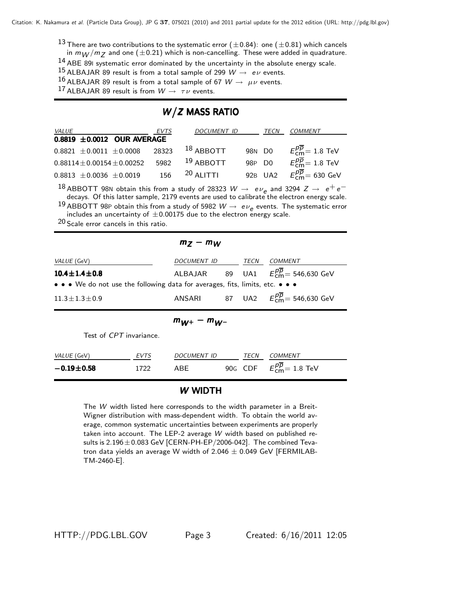$^{13}$  There are two contributions to the systematic error ( $\pm 0.84$ ): one ( $\pm 0.81$ ) which cancels

in  $m_W/m_Z$  and one ( $\pm 0.21$ ) which is non-cancelling. These were added in quadrature.

 $14$  ABE 89I systematic error dominated by the uncertainty in the absolute energy scale.

 $^{15}$  ALBAJAR 89 result is from a total sample of 299  $W \rightarrow e \nu$  events.

 $16$  ALBAJAR 89 result is from a total sample of 67  $W \rightarrow \mu \nu$  events.

<sup>17</sup> ALBAJAR 89 result is from  $W \rightarrow \tau \nu$  events.

# $W/Z$  MASS RATIO

| <i>VALUE</i>                      | EVTS  | DOCUMENT ID |        | TECN    | COMMENT                                   |
|-----------------------------------|-------|-------------|--------|---------|-------------------------------------------|
| $0.8819 \pm 0.0012$ OUR AVERAGE   |       |             |        |         |                                           |
| $0.8821 \pm 0.0011 \pm 0.0008$    | 28323 | $18$ ABBOTT | 98N DO |         | $E_{cm}^{\overline{p}}=1.8$ TeV           |
| $0.88114 \pm 0.00154 \pm 0.00252$ | 5982  | $19$ ABBOTT | 98P D0 |         | $E_{\rm cm}^{\overline{p}}=1.8$ TeV       |
| $0.8813 \pm 0.0036 \pm 0.0019$    | 156   | $20$ ALITTI |        | 92B UA2 | $E_{\rm cm}^{\overline{p}}=630~{\rm GeV}$ |
|                                   |       |             |        |         |                                           |

<sup>18</sup> ABBOTT 98N obtain this from a study of 28323 *W* → *ev*<sub>e</sub> and 3294 *Z* → *e*<sup>+</sup>*e*<sup>−</sup> decays. Of this latter sample, 2179 events are used to calibrate the electron energy scale.

<sup>19</sup> ABBOTT 98P obtain this from a study of 5982  $W \rightarrow e \nu_e$  events. The systematic error includes an uncertainty of  $\pm 0.00175$  due to the electron energy scale.<br><sup>20</sup> Seele error sangels in this ratio.

20 Scale error cancels in this ratio.

# *<sup>m</sup>Z* <sup>−</sup> *<sup>m</sup>W*

| $m_{144} - m_{144}$    |                                                                               |  |      |                                            |  |  |  |
|------------------------|-------------------------------------------------------------------------------|--|------|--------------------------------------------|--|--|--|
| $11.3 \pm 1.3 \pm 0.9$ |                                                                               |  |      | ANSARI 87 UA2 $E_{cm}^{pp} = 546,630$ GeV  |  |  |  |
|                        | • • • We do not use the following data for averages, fits, limits, etc. • • • |  |      |                                            |  |  |  |
| $10.4 \pm 1.4 \pm 0.8$ |                                                                               |  |      | ALBAJAR 89 UA1 $E_{cm}^{pp} = 546,630$ GeV |  |  |  |
| <i>VALUE</i> (GeV)     | DOCUMENT ID                                                                   |  | TECN | COMMENT                                    |  |  |  |
|                        |                                                                               |  |      |                                            |  |  |  |

$$
m_{W^+}-m_{W^-}
$$

Test of *CPT* invariance.

| VALUE (GeV)          | <b>EVTS</b> | DOCUMENT ID | <b>TFCN</b> | COMMENT                                |
|----------------------|-------------|-------------|-------------|----------------------------------------|
| $-0.19 \!\pm\! 0.58$ | 1722        | ABF         |             | 90G CDF $E_{\text{cm}}^{pp}$ = 1.8 TeV |

### *W* WIDTH

The *W* width listed here corresponds to the width parameter in a Breit-Wigner distribution with mass-dependent width. To obtain the world average, common systematic uncertainties between experiments are properly taken into account. The LEP-2 average *W* width based on published results is  $2.196 \pm 0.083$  GeV [CERN-PH-EP/2006-042]. The combined Tevatron data yields an average W width of  $2.046 \pm 0.049$  GeV [FERMILAB-TM-2460-E].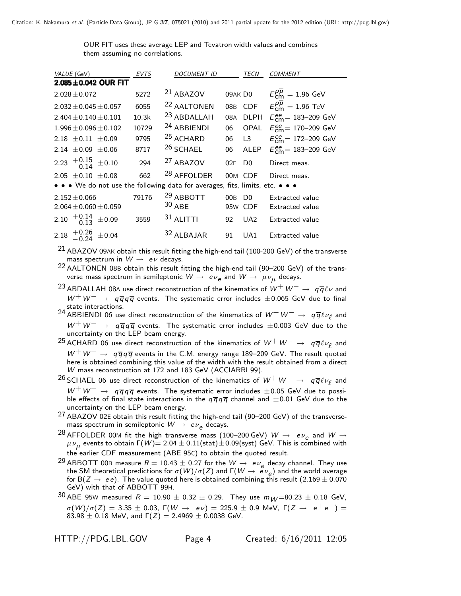OUR FIT uses these average LEP and Tevatron width values and combines them assuming no correlations.

| VALUE (GeV)                                                                                                           | <b>EVTS</b> | <b>DOCUMENT ID</b>               |          | <b>TECN</b> | <b>COMMENT</b>                                      |
|-----------------------------------------------------------------------------------------------------------------------|-------------|----------------------------------|----------|-------------|-----------------------------------------------------|
| $2.085 \pm 0.042$ OUR FIT                                                                                             |             |                                  |          |             |                                                     |
| $2.028 \pm 0.072$                                                                                                     | 5272        | $21$ ABAZOV                      | 09AK DO  |             | $E_{cm}^{p\overline{p}}=1.96$ GeV                   |
| $2.032 \pm 0.045 \pm 0.057$                                                                                           | 6055        | <sup>22</sup> AALTONEN           |          | 08B CDF     | $E_{cm}^{p\overline{p}}=1.96$ TeV                   |
| $2.404 \pm 0.140 \pm 0.101$                                                                                           | 10.3k       | <sup>23</sup> ABDALLAH           | 08A      | <b>DLPH</b> | $E_{cm}^{ee}$ = 183-209 GeV                         |
| $1.996 \pm 0.096 \pm 0.102$                                                                                           | 10729       | <sup>24</sup> ABBIENDI           | 06       | OPAL        | $E_{cm}^{ee}$ = 170–209 GeV                         |
| 2.18 $\pm$ 0.11 $\pm$ 0.09                                                                                            | 9795        | <sup>25</sup> ACHARD             | 06       | L3          | $E_{\text{cm}}^{\text{ee}} = 172 - 209 \text{ GeV}$ |
| 2.14 $\pm$ 0.09 $\pm$ 0.06                                                                                            | 8717        | <sup>26</sup> SCHAEL             | 06       | ALEP        | $E_{\text{cm}}^{\text{ee}} = 183 - 209 \text{ GeV}$ |
| 2.23 $^{+0.15}_{-0.14}$ ±0.10                                                                                         | 294         | <sup>27</sup> ABAZOV             | 02E DO   |             | Direct meas.                                        |
| 2.05 $\pm$ 0.10 $\pm$ 0.08                                                                                            | 662         | <sup>28</sup> AFFOLDER           |          | 00M CDF     | Direct meas.                                        |
| $\bullet \bullet \bullet$ We do not use the following data for averages, fits, limits, etc. $\bullet \bullet \bullet$ |             |                                  |          |             |                                                     |
| $2.152 \pm 0.066$<br>$2.064 \pm 0.060 \pm 0.059$                                                                      | 79176       | <sup>29</sup> ABBOTT<br>$30$ ABE | $00B$ DO | 95w CDF     | <b>Extracted value</b><br><b>Extracted value</b>    |
| 2.10 $\frac{+0.14}{-0.13}$ ±0.09                                                                                      | 3559        | $31$ ALITTI                      | 92       | $U_A2$      | <b>Extracted value</b>                              |
| 2.18 $^{+0.26}_{-0.24}$ ±0.04                                                                                         |             | 32 ALBAJAR                       | 91       | UA1         | <b>Extracted value</b>                              |
| ົາາ                                                                                                                   |             |                                  |          |             |                                                     |

 $^{21}$  ABAZOV 09AK obtain this result fitting the high-end tail (100-200 GeV) of the transverse mass spectrum in  $W \rightarrow e \nu$  decays.

<sup>23</sup> ABDALLAH 08<sup>A</sup> use direct reconstruction of the kinematics of *W*+*W*<sup>−</sup> <sup>→</sup> *q q* ν and *<sup>W</sup>*+*W*<sup>−</sup> <sup>→</sup> *<sup>q</sup> q q q* events. The systematic error includes <sup>±</sup>0.065 GeV due to final state interactions.

24 ABBIENDI 06 use direct reconstruction of the kinematics of  $W^+W^-\rightarrow q\overline{q}\ell\nu_{\ell}$  and *W*+*W*<sup>−</sup> <sup>→</sup> *q q q <sup>q</sup>* events. The systematic error includes <sup>±</sup>0.003 GeV due to the uncertainty on the LEP beam energy.

25 ACHARD 06 use direct reconstruction of the kinematics of  $W^+W^-\rightarrow q\overline{q}\ell\nu_\ell$  and *W*+*W*<sup>−</sup> <sup>→</sup> *q q q <sup>q</sup>* events in the C.M. energy range 189–209 GeV. The result quoted here is obtained combining this value of the width with the result obtained from a direct *W* mass reconstruction at 172 and 183 GeV (ACCIARRI 99).

- 2<sup>6</sup> SCHAEL 06 use direct reconstruction of the kinematics of  $W^+W^-\rightarrow q\overline{q}\ell\nu_\ell$  and *W*+*W*<sup>−</sup> <sup>→</sup> *q q q <sup>q</sup>* events. The systematic error includes <sup>±</sup>0.05 GeV due to possible effects of final state interactions in the  $q\overline{q}q\overline{q}$  channel and  $\pm 0.01$  GeV due to the uncertainty on the LEP beam energy.
- 27 ABAZOV 02<sup>E</sup> obtain this result fitting the high-end tail (90–200 GeV) of the transversemass spectrum in semileptonic  $W \rightarrow e \nu_e$  decays.
- <sup>28</sup> AFFOLDER 00M fit the high transverse mass (100–200 GeV)  $W \rightarrow e \nu_e$  and  $W \rightarrow$  $μν_{μ}$  events to obtain  $Γ(W) = 2.04 ± 0.11$ (stat) ± 0.09(syst) GeV. This is combined with the earlier CDF measurement (ABE 95C) to obtain the quoted result.
- <sup>29</sup> ABBOTT 00B measure  $R = 10.43 \pm 0.27$  for the  $W \to e\nu_e$  decay channel. They use the SM theoretical predictions for  $\sigma(W)/\sigma(Z)$  and  $\Gamma(W \to e\nu_e)$  and the world average the SM theoretical predictions for  $\sigma(W)/\sigma(Z)$  and  $\Gamma(W \to e \nu_e)$  and the world average<br>for B(*Z* → *ee*). The value quoted here is obtained combining this result (2.169 ± 0.070<br>GeV) with that of ABBOTT 99H GeV) with that of ABBOTT 99H.
- 30 ABE 95W measured  $R = 10.90 \pm 0.32 \pm 0.29$ . They use  $m_W = 80.23 \pm 0.18$  GeV,  $\sigma(W)/\sigma(Z) = 3.35 \pm 0.03$ ,  $\Gamma(W \to eV) = 225.9 \pm 0.9$  MeV,  $\Gamma(Z \to e^+e^-) =$ 83.98  $\pm$  0.18 MeV, and  $\Gamma(Z)=2.4969\pm 0.0038$  GeV.

HTTP://PDG.LBL.GOV Page 4 Created: 6/16/2011 12:05

 $22$  AALTONEN 08B obtain this result fitting the high-end tail (90-200 GeV) of the transverse mass spectrum in semileptonic  $W \to e\nu_e$  and  $W \to \mu\nu_\mu$  decays.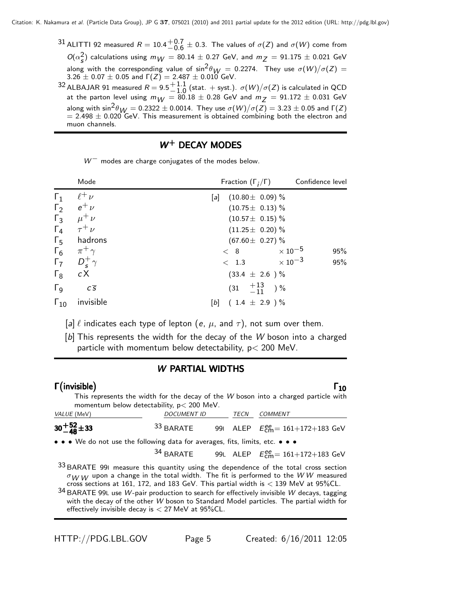$31$  ALITTI 92 measured  $R = 10.4\frac{+0.7}{-0.6} \pm 0.3$ . The values of  $\sigma(Z)$  and  $\sigma(W)$  come from  $O(\alpha_s^2)$  calculations using  $m_W = 80.14 \pm 0.27$  GeV, and  $m_Z = 91.175 \pm 0.021$  GeV  $S_{\rm s}^{2}$ ) calculations using  $m_{\rm W} = 80.14 \pm 0.27$  GeV, and  $m_{\rm Z} = 91.175 \pm 0.021$  GeV<br>g with the corresponding value of  $\sin^2\theta_{\rm DM} = 0.2274$  . They use  $\sigma(W)/\sigma(Z) =$ along with the corresponding value of  $\sin^2\theta_W = 0.2274$ . They use  $\sigma(W)/\sigma(Z) = 3.26 \pm 0.07 \pm 0.05$  and  $\Gamma(Z) = 2.487 \pm 0.010$  GeV.  $3.26 \pm 0.07 \pm 0.05$  and  $\Gamma(Z) = 2.487 \pm 0.010$  GeV.  $^{32}$  ALBAJAR 91 measured  $R = 9.5^{+1.1}_{-1.0}$  (stat. + syst.).  $\sigma(W)/\sigma(Z)$  is calculated in QCD at the parton level using  $m_{1M} = 80.18 \pm 0.28$  GeV and  $m_{7} = 91.172 \pm 0.031$  GeV at the parton level using  $m_{W} = 80.18 \pm 0.28$  GeV and  $m_{Z} = 91.172 \pm 0.031$  GeV

along with  $\sin^2\theta_W = 0.2322 \pm 0.0014$ . They use  $\sigma(W)/\sigma(Z) = 3.23 \pm 0.05$  and  $\Gamma(Z) = 2.498 \pm 0.020$  GeV. This measurement is obtained combining both the electron and  $= 2.498 \pm 0.020$  GeV. This measurement is obtained combining both the electron and muon channels.

# $W^+$  DECAY MODES

*W*<sup>−</sup> modes are charge conjugates of the modes below.

|                       | Mode              | Fraction $(\Gamma_i/\Gamma)$ | Confidence level           |
|-----------------------|-------------------|------------------------------|----------------------------|
| $\Gamma_1$            | $\ell^+ \nu$      | $(10.80 \pm 0.09)$ %<br>lal  |                            |
| $\Gamma_2$            | $e^+$ $\nu$       | $(10.75 \pm 0.13)$ %         |                            |
| $\Gamma_3$            | $\mu^+ \nu$       | $(10.57 \pm 0.15)\%$         |                            |
| $\Gamma_4$            | $\tau^+ \nu$      | $(11.25 \pm 0.20)$ %         |                            |
| $\Gamma_{5}$          | hadrons           | $(67.60 \pm 0.27)\%$         |                            |
| $\Gamma_6$            | $\pi^+$ $\gamma$  | < 8                          | $\times$ 10 $^{-5}$<br>95% |
| $\Gamma_7$            | $D_{s}^{+}\gamma$ | < 1.3                        | $\times$ 10 $^{-3}$<br>95% |
| $\Gamma_8$            | сX                | $(33.4 \pm 2.6) \%$          |                            |
| $\Gamma$ <sub>9</sub> | $c\overline{s}$   | $(31 \t +\tfrac{13}{11})\%$  |                            |
| $\Gamma_{10}$         | invisible         | $(1.4 \pm 2.9) \%$<br>[b]    |                            |

 $[a] \ell$  indicates each type of lepton  $(e, \mu,$  and  $\tau)$ , not sum over them.

[b] This represents the width for the decay of the *W* boson into a charged particle with momentum below detectability,  $p < 200$  MeV.

### *W* PARTIAL WIDTHS

#### Γ  $\Gamma$ (invisible)  $\Gamma_{10}$  $\Gamma$ (invisible)  $\Gamma_{10}$  $\qquad \qquad \textsf{invisible)} \qquad \qquad \Gamma_1$

This represents the width for the decay of the *W* boson into a charged particle with momentum below detectability, p< 200 MeV.

| <i>VALUE</i> (MeV) | <b>DOCUMENT ID</b>                                                                                                    |  | TECN | <i>COMMENT</i>                                                     |  |  |  |  |  |
|--------------------|-----------------------------------------------------------------------------------------------------------------------|--|------|--------------------------------------------------------------------|--|--|--|--|--|
| $30 + 52 + 33$     | 33 BARATE                                                                                                             |  |      | 991 ALEP $E_{\text{cm}}^{\text{ee}} = 161 + 172 + 183 \text{ GeV}$ |  |  |  |  |  |
|                    | $\bullet \bullet \bullet$ We do not use the following data for averages, fits, limits, etc. $\bullet \bullet \bullet$ |  |      |                                                                    |  |  |  |  |  |
|                    | 34 BARATE                                                                                                             |  |      | 99L ALEP $E_{\text{cm}}^{ee} = 161 + 172 + 183 \text{ GeV}$        |  |  |  |  |  |
|                    |                                                                                                                       |  |      |                                                                    |  |  |  |  |  |

<sup>33</sup> BARATE 991 measure this quantity using the dependence of the total cross section  $\sigma_{W\,W}$  upon a change in the total width. The fit is performed to the WW measured  $\sigma_{\text{W W}}$  upon a change in the total width. The fit is performed to the *WW* measured<br>cross sections at 161, 172, and 183 GeV. This partial width is  $<$  139 MeV at 95%CL.<br>PARATE 001 use *W* pair production to search for

<sup>34</sup> BARATE 99<sup>L</sup> use *W*-pair production to search for effectively invisible *W* decays, tagging with the decay of the other *W* boson to Standard Model particles. The partial width for effectively invisible decay is  $<$  27 MeV at 95%CL.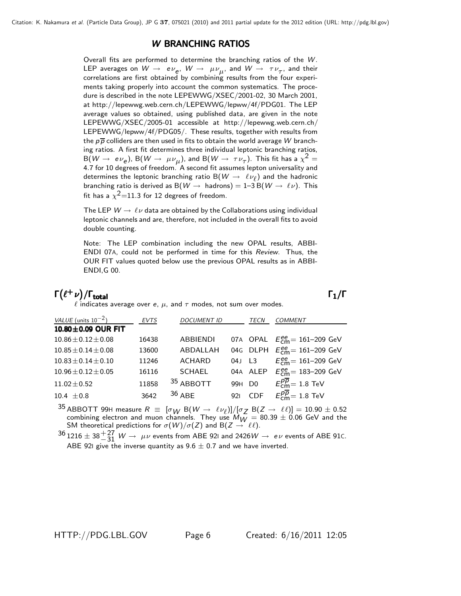# **W BRANCHING RATIOS**

Overall fits are performed to determine the branching ratios of the *W*. LEP averages on  $W \to e \nu_e$ ,  $W \to \mu \nu_\mu$ , and  $W \to \tau \nu_\tau$ , and their correlations are first obtained by combining results from the four experiments taking properly into account the common systematics. The procedure is described in the note LEPEWWG/XSEC/2001-02, 30 March 2001, at http://lepewwg.web.cern.ch/LEPEWWG/lepww/4f/PDG01. The LEP average values so obtained, using published data, are given in the note LEPEWWG/XSEC/2005-01 accessible at http://lepewwg.web.cern.ch/ LEPEWWG/lepww/4f/PDG05/. These results, together with results from the  $p\overline{p}$  colliders are then used in fits to obtain the world average W branching ratios. A first fit determines three individual leptonic branching ratios,  $B(W \to e \nu_e)$ ,  $B(W \to \mu \nu_\mu)$ , and  $B(W \to \tau \nu_\tau)$ . This fit has a  $\chi^2 =$ 4.7 for 10 degrees of freedom. A second fit assumes lepton universality and determines the leptonic branching ratio B( $W \rightarrow \ell \nu_{\ell}$ ) and the hadronic determines the leptonic branching ratio B( $W\to\ \ell\nu_\ell)$  and the hadronic<br>branching ratio is derived as B( $W\to\ {\rm hadrons})=1\hbox{--}3\,{\rm B}(W\to\ \ell\nu).$  This branching ratio is derived as  $B(W \to hadron s) = 1-3 B(W \to \ell \nu)$ . This fit has a  $\chi^2$ =11.3 for 12 degrees of freedom.

The LEP  $W \rightarrow \ell \nu$  data are obtained by the Collaborations using individual leptonic channels and are, therefore, not included in the overall fits to avoid double counting.

Note: The LEP combination including the new OPAL results, ABBI-ENDI 07A, could not be performed in time for this *Review*. Thus, the OUR FIT values quoted below use the previous OPAL results as in ABBI-ENDI,G 00.

#### $\Gamma(\ell^+\nu)/\Gamma_{\rm total}$ /Γ $\Gamma$ total $\Gamma_1/\Gamma$

 $\ell$  indicates average over *e*,  $\mu$ , and  $\tau$  modes, not sum over modes.

| VALUE (units $10^{-2}$ )  | <b>EVTS</b> | <b>DOCUMENT ID</b> |                    | TECN       | <b>COMMENT</b>                          |
|---------------------------|-------------|--------------------|--------------------|------------|-----------------------------------------|
| 10.80±0.09 OUR FIT        |             |                    |                    |            |                                         |
| $10.86 \pm 0.12 \pm 0.08$ | 16438       | <b>ABBIENDI</b>    |                    | 07A OPAL   | $E_{cm}^{ee}$ = 161–209 GeV             |
| $10.85 \pm 0.14 \pm 0.08$ | 13600       | ABDALLAH           |                    |            | 04G DLPH $E_{cm}^{ee} = 161 - 209$ GeV  |
| $10.83 \pm 0.14 \pm 0.10$ | 11246       | <b>ACHARD</b>      | 04J L3             |            | $E_{\text{cm}}^{ee}$ = 161–209 GeV      |
| $10.96 \pm 0.12 \pm 0.05$ | 16116       | <b>SCHAEL</b>      |                    | 04A ALEP   | $E_{cm}^{ee}$ = 183–209 GeV             |
| $11.02 \pm 0.52$          | 11858       | 35 ABBOTT          | 99H D <sub>0</sub> |            | $E_{\text{cm}}^{p\overline{p}}=1.8$ TeV |
| $10.4 \pm 0.8$            | 3642        | $36$ ABF           | 921                | <b>CDF</b> | $E_{\text{cm}}^{p\overline{p}}=1.8$ TeV |
| <u>__</u>                 |             |                    |                    |            |                                         |

 $^{35}$  ABBOTT 99H measure  $R \equiv [\sigma_W \; B(W \to \ell \nu_\ell)]/[\sigma_Z \; B(Z \to \ell \ell)] = 10.90 \pm 0.52$  $^{35}$  ABBOTT 99H measure  $R \equiv [\sigma_W \; B(W \to \; \ell \nu_\ell)] / [\sigma_Z \; B(Z \to \; \ell \ell)] = 10.90 \pm 0.52$  combining electron and muon channels. They use  $M_W = 80.39 \pm 0.06$  GeV and the combining electron and muon channels. They use  $M_W = 80.39 \pm 0.06$  GeV and the<br>SM theoretical predictions for  $\sigma(W)/\sigma(Z)$  and  $B(Z \to \ell\ell)$ .

 $\frac{36}{1216} \pm 38\frac{+27}{-31}$  *W*  $\rightarrow \mu\nu$  events from ABE 92I and 2426*W*  $\rightarrow e\nu$  events of ABE 91C. ABE 92I give the inverse quantity as  $9.6 \pm 0.7$  and we have inverted.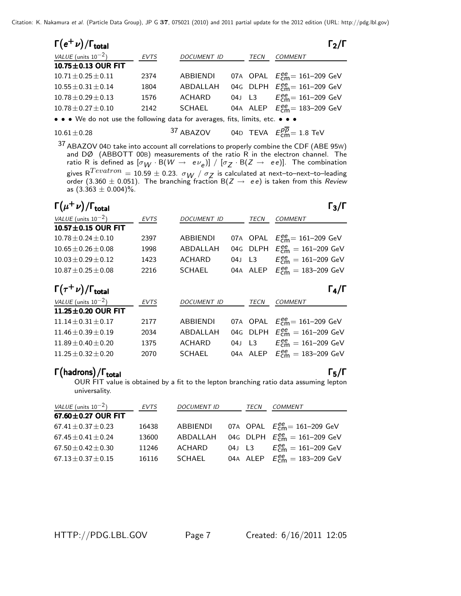| $\Gamma(e^+\nu)/\Gamma_{\rm total}$          |             |                    |      | $\Gamma_2/\Gamma$                                                                                                                                                                                                                  |
|----------------------------------------------|-------------|--------------------|------|------------------------------------------------------------------------------------------------------------------------------------------------------------------------------------------------------------------------------------|
| VALUE (units $10^{-2}$ )                     | <b>EVTS</b> | <b>DOCUMENT ID</b> | TECN | <b>COMMENT</b>                                                                                                                                                                                                                     |
| 10.75±0.13 OUR FIT                           |             |                    |      |                                                                                                                                                                                                                                    |
| $10.71 \pm 0.25 \pm 0.11$                    | 2374        | <b>ABBIENDI</b>    |      | 07A OPAL $E_{cm}^{ee} = 161 - 209$ GeV                                                                                                                                                                                             |
| $10.55 \pm 0.31 \pm 0.14$                    | 1804        | ABDALLAH           |      | 04G DLPH $E_{cm}^{ee} = 161 - 209$ GeV                                                                                                                                                                                             |
| $10.78 \pm 0.29 \pm 0.13$                    | 1576        | <b>ACHARD</b>      |      | 04J L3 $E_{cm}^{ee} = 161-209$ GeV                                                                                                                                                                                                 |
| $10.78 \pm 0.27 \pm 0.10$                    | 2142        | <b>SCHAEL</b>      |      | 04A ALEP $E_{cm}^{ee} = 183 - 209$ GeV                                                                                                                                                                                             |
| $\mathbf{M}$ is the contract of $\mathbf{M}$ |             |                    |      | $\mathcal{L}$ . The contract of the contract of the contract of the contract of the contract of the contract of the contract of the contract of the contract of the contract of the contract of the contract of the contract of th |

 $\bullet\,\bullet\,\bullet$  We do not use the following data for averages, fits, limits, etc.  $\bullet\,\bullet\,\bullet$ 

 $10.61 \pm 0.28$   $37$  ABAZOV 04D TEVA  $E_{\text{cm}}^{p\overline{p}} = 1.8$  TeV

37 ABAZOV 04D take into account all correlations to properly combine the CDF (ABE 95W) and DØ (ABBOTT 00B) measurements of the ratio R in the electron channel. The ratio R is defined as  $[\sigma_W \cdot B(W \to e \nu_e)] / [\sigma_Z \cdot B(Z \to ee)]$ . The combination gives R<sup>1 evatron</sup> = 10.59  $\pm$  0.23.  $\sigma_W$  /  $\sigma_Z$  is calculated at next–to–next–to–leading<br>order (3.360  $\pm$  0.051). The branching fraction B(*Z*  $\rightarrow$  ee) is taken from this *Review*<br>as (3.363 + 0.004)% as  $(3.363 \pm 0.004)\%$ .

#### $\Gamma(\mu^+ \nu)/\Gamma_{\text{total}}$  Γ<sub>3</sub>/Γ  $\Gamma$ <sub>total</sub>Γ<sub>3</sub>/Γ

| VALUE (units $10^{-2}$ )               | <b>EVTS</b> | DOCUMENT ID        |        | TECN     | <b>COMMENT</b>                                      |
|----------------------------------------|-------------|--------------------|--------|----------|-----------------------------------------------------|
| $10.57 \pm 0.15$ OUR FIT               |             |                    |        |          |                                                     |
| $10.78 + 0.24 + 0.10$                  | 2397        | <b>ABBIENDI</b>    |        | 07A OPAL | $E_{cm}^{ee}$ = 161–209 GeV                         |
| $10.65 + 0.26 + 0.08$                  | 1998        | ABDALLAH           |        | 04G DLPH | $E_{cm}^{ee} = 161 - 209$ GeV                       |
| $10.03 \pm 0.29 \pm 0.12$              | 1423        | ACHARD             | 04J L3 |          | $E_{cm}^{ee} = 161 - 209$ GeV                       |
| $10.87 \pm 0.25 \pm 0.08$              | 2216        | <b>SCHAEL</b>      |        | 04A ALEP | $E_{cm}^{ee} = 183 - 209$ GeV                       |
| $\Gamma(\tau^+\nu)/\Gamma_{\rm total}$ |             |                    |        |          | $\Gamma_4/\Gamma$                                   |
|                                        |             |                    |        |          |                                                     |
| VALUE (units $10^{-2}$ )               | EVTS        | <b>DOCUMENT ID</b> |        | TECN     | <b>COMMENT</b>                                      |
| 11.25±0.20 OUR FIT                     |             |                    |        |          |                                                     |
| $11.14 + 0.31 + 0.17$                  | 2177        | <b>ABBIENDI</b>    |        | 07A OPAL | $E_{\text{cm}}^{\text{ee}} = 161 - 209 \text{ GeV}$ |
| $11.46 \pm 0.39 \pm 0.19$              | 2034        | ABDALLAH           |        | 04G DLPH | $E_{\text{cm}}^{\text{ee}} = 161 - 209 \text{ GeV}$ |
| $11.89 + 0.40 + 0.20$                  | 1375        | ACHARD             | 04J L3 |          | $E_{cm}^{ee} = 161 - 209$ GeV                       |

# Γ (hadrons) / Γ<sub>total</sub> Γενικό του Καταστικό Καταστικό Καταστικό Καταστικό Καταστικό Καταστικό Καταστικό Καταστικό<br>Γενικό Καταστικό Καταστικό Καταστικό Καταστικό Καταστικό Καταστικό Καταστικό Καταστικό Καταστικό Καταστικό

 $\Gamma_5/\Gamma$ 

OUR FIT value is obtained by a fit to the lepton branching ratio data assuming lepton universality.

| VALUE (units $10^{-2}$ )  | <b>EVTS</b> | <b>DOCUMENT ID</b> |        | TECN | <b>COMMENT</b>                         |
|---------------------------|-------------|--------------------|--------|------|----------------------------------------|
| $67.60 \pm 0.27$ OUR FIT  |             |                    |        |      |                                        |
| $67.41 \pm 0.37 \pm 0.23$ | 16438       | ABBIENDI           |        |      | 07A OPAL $E_{cm}^{ee} = 161 - 209$ GeV |
| $67.45 \pm 0.41 \pm 0.24$ | 13600       | ABDALLAH           |        |      | 04G DLPH $E_{cm}^{ee} = 161-209$ GeV   |
| $67.50 \pm 0.42 \pm 0.30$ | 11246       | ACHARD             | 04J L3 |      | $E_{cm}^{ee} = 161 - 209$ GeV          |
| $67.13 \pm 0.37 \pm 0.15$ | 16116       | SCHAEL             |        |      | 04A ALEP $E_{cm}^{ee} = 183 - 209$ GeV |

HTTP://PDG.LBL.GOV Page 7 Created: 6/16/2011 12:05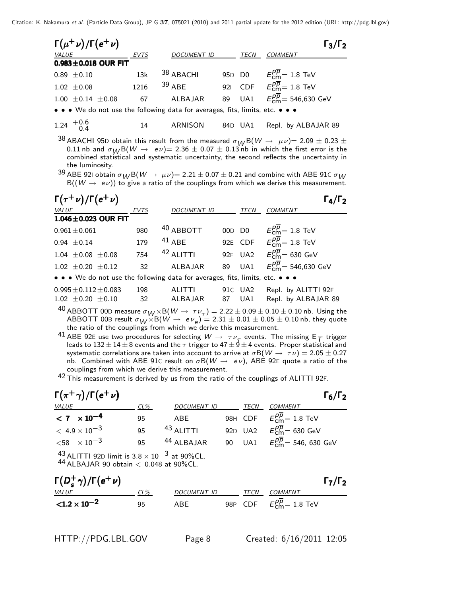| $\Gamma(\mu^+\nu)/\Gamma(e^+\nu)$                                             |             |                    |         | $\Gamma_3/\Gamma_2$                                       |
|-------------------------------------------------------------------------------|-------------|--------------------|---------|-----------------------------------------------------------|
| VALUE                                                                         | <b>EVTS</b> | <b>DOCUMENT ID</b> | TECN    | <b>COMMENT</b>                                            |
| $0.983 \pm 0.018$ OUR FIT                                                     |             |                    |         |                                                           |
| $0.89 \pm 0.10$                                                               | 13k         | 38 ABACHI          |         | 95D D0 $E_{cm}^{\overline{pp}} = 1.8 \text{ TeV}$         |
| $1.02 \pm 0.08$                                                               | 1216        | $39$ ABF           |         | 921 CDF $E_{\text{cm}}^{p\overline{p}} = 1.8 \text{ TeV}$ |
| $1.00 \pm 0.14 \pm 0.08$                                                      | 67          | ALBAJAR            |         | 89 UA1 $E_{cm}^{p\overline{p}} = 546,630 \text{ GeV}$     |
| • • • We do not use the following data for averages, fits, limits, etc. • • • |             |                    |         |                                                           |
| 1.24 $^{+0.6}_{-0.4}$                                                         | 14          | ARNISON            | 84D UA1 | Repl. by ALBAJAR 89                                       |

<sup>38</sup> ABACHI 95D obtain this result from the measured  $σ$ <sub>*W*</sub> B(*W*  $\rightarrow$   $μν$ )= 2.09  $\pm$  0.23  $\pm$  0.11 nb and  $σ$ <sub>*W*</sub> B(*W*  $\rightarrow$   $eν$ )= 2.36  $\pm$  0.07  $\pm$  0.13 nb in which the first error is the 0.11 nb and  $\sigma_W B(W \to e\nu) = 2.36 \pm 0.07 \pm 0.13$  nb in which the first error is the combined statistical and systematic uncertainty, the second reflects the uncertainty in the luminosity.

<sup>39</sup> ABE 92I obtain  $σ$ <sub>*W*</sub> B(*W* → *μν*)= 2.21 ± 0.07 ± 0.21 and combine with ABE 91C  $σ$ <sub>*W*</sub> B((*W* → *eν*)) to give a ratio of the couplings from which we derive this measurement.

| $\Gamma(\tau^+\nu)/\Gamma(e^+\nu)$                                                                                    |             |               |    |             | $\Gamma_4/\Gamma_2$                                          |
|-----------------------------------------------------------------------------------------------------------------------|-------------|---------------|----|-------------|--------------------------------------------------------------|
| VALUE                                                                                                                 | <b>EVTS</b> | DOCUMENT ID   |    | <b>TECN</b> | <b>COMMENT</b>                                               |
| $1.046 \pm 0.023$ OUR FIT                                                                                             |             |               |    |             |                                                              |
| $0.961 \pm 0.061$                                                                                                     | 980         | 40 ABBOTT     |    |             | 00D D0 $E_{\text{cm}}^{p\overline{p}} = 1.8 \text{ TeV}$     |
| $0.94 \pm 0.14$                                                                                                       | 179         | $41$ ABE      |    |             | 92E CDF $E_{cm}^{\overline{p}}=1.8$ TeV                      |
| $1.04 \pm 0.08 \pm 0.08$                                                                                              | 754         | $42$ ALITTI   |    |             | 92F UA2 $E_{\text{cm}}^{p\overline{p}} = 630 \text{ GeV}$    |
| $1.02 \pm 0.20 \pm 0.12$                                                                                              | 32          | ALBAJAR       |    |             | 89 UA1 $E_{\text{cm}}^{p\overline{p}} = 546,630 \text{ GeV}$ |
| $\bullet \bullet \bullet$ We do not use the following data for averages, fits, limits, etc. $\bullet \bullet \bullet$ |             |               |    |             |                                                              |
| $0.995 \pm 0.112 \pm 0.083$                                                                                           | 198         | <b>ALITTI</b> |    | 91C UA2     | Repl. by ALITTI 92F                                          |
| $1.02 \pm 0.20 \pm 0.10$                                                                                              | 32          | ALBAJAR       | 87 | UA1         | Repl. by ALBAJAR 89                                          |
| $\Lambda$ $\cap$                                                                                                      |             |               |    |             |                                                              |

<sup>40</sup> ABBOTT 00D measure  $\sigma_W \times B(W \to \tau \nu_\tau) = 2.22 \pm 0.09 \pm 0.10 \pm 0.10$  nb. Using the ABBOTT 00B result  $\sigma_W \times B(W \to e \nu_e) = 2.31 \pm 0.01 \pm 0.05 \pm 0.10$  nb, they quote ABBOTT 00B result  $\sigma_W \times B(W \to e\nu_e) = 2.31 \pm 0.01 \pm 0.05 \pm 0.10$  nb, they quote the ratio of the couplings from which we derive this measurement.

41 ABE 92E use two procedures for selecting  $W \to \tau \nu_{\tau}$  events. The missing  $E_{\tau}$  trigger leads to 132  $\pm$  14  $\pm$  8 events and the  $\tau$  trigger to 47  $\pm$  9  $\pm$  4 events. Proper statistical and systematic correlati systematic correlations are taken into account to arrive at  $\sigma B(W \to \tau \nu)=2.05 \pm 0.27$ <br>nb. Combined with ARE 916 result on  $\sigma B(W \to e \nu)$ . ARE 925 quote a ratio of the nb. Combined with ABE 91C result on  $\sigma B(W \to e\nu)$ , ABE 92E quote a ratio of the couplings from which we derive this measurement couplings from which we derive this measurement.

42 This measurement is derived by us from the ratio of the couplings of ALITTI 92F.

| $\Gamma(\pi^+\gamma)/\Gamma(e^+\nu)$ |        |                       |      | $\Gamma_6/\Gamma_2$                                           |
|--------------------------------------|--------|-----------------------|------|---------------------------------------------------------------|
| VALUE                                | $CL\%$ | DOCUMENT ID           | TECN | <b>COMMENT</b>                                                |
| $< 7 \times 10^{-4}$                 | 95     | ABE                   |      | 98H CDF $E_{\text{cm}}^{pp} = 1.8 \text{ TeV}$                |
| $< 4.9 \times 10^{-3}$               | 95     | <sup>43</sup> ALITTI  |      | 92D UA2 $E_{cm}^{p\overline{p}} = 630$ GeV                    |
| $<$ 58 $\times$ 10 $^{-3}$           | 95     | <sup>44</sup> ALBAJAR |      | 90 UA1 $E_{\text{cm}}^{p\overline{p}} = 546, 630 \text{ GeV}$ |
| $\sim$                               |        |                       |      |                                                               |

 $^{43}_{12}$  ALITTI 92D limit is 3.8 × 10<sup>-3</sup> at 90%CL.

<sup>44</sup> ALBAJAR 90 obtain < <sup>0</sup>.048 at 90%CL.

| $\Gamma(D_s^+\gamma)/\Gamma(e^+\nu)$ |        |             |      |                                        | $\Gamma_7/\Gamma_2$ |
|--------------------------------------|--------|-------------|------|----------------------------------------|---------------------|
| <i>VALUE</i>                         | $CL\%$ | DOCUMENT ID | TECN | COMMENT                                |                     |
| ${<}1.2 \times 10^{-2}$              | 95     | ABF         |      | 98P CDF $E_{\text{cm}}^{pp}$ = 1.8 TeV |                     |

/Γ*e*<sup>+</sup> <sup>ν</sup>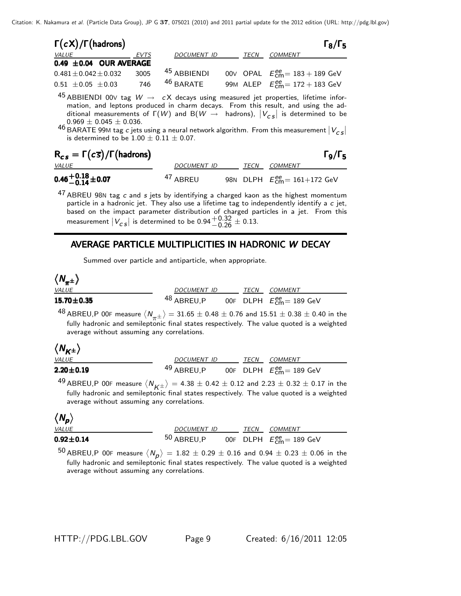| $\Gamma(cX)/\Gamma(hadrons)$ |      |                        |      | $\Gamma_8/\Gamma_5$                    |
|------------------------------|------|------------------------|------|----------------------------------------|
| <i>VALUE</i>                 | EVTS | DOCUMENT ID            | TECN | COMMENT                                |
| 0.49 $\pm$ 0.04 OUR AVERAGE  |      |                        |      |                                        |
| $0.481 \pm 0.042 \pm 0.032$  | 3005 | <sup>45</sup> ABBIENDI |      | 00V OPAL $E_{cm}^{ee} = 183 + 189$ GeV |
| $0.51 \pm 0.05 \pm 0.03$     | 746  | $46$ BARATE            |      | 99M ALEP $E_{cm}^{ee} = 172 + 183$ GeV |
| $\overline{a}$               |      |                        |      |                                        |

 $^{45}$  ABBIENDI 00 $\vee$  tag  $W \rightarrow cX$  decays using measured jet properties, lifetime information, and leptons produced in charm decays. From this result, and using the additional measurements of  $\Gamma(W)$  and  $\Gamma(W \to \text{hadrons})$ ,  $|V_{cs}|$  is determined to be 0.969  $\pm$  0.045  $\pm$  0.036.

 $0.969 \pm 0.045 \pm 0.036$ .<br>46 BARATE 99M tag *c* jets using a neural network algorithm. From this measurement  $|V_{cs}|$  is determined to be 1.00  $\pm$  0.11  $\pm$  0.07. is determined to be  $1.00 \pm 0.11 \pm 0.07$ .

| $R_{cs} = \Gamma(c\overline{s})/\Gamma(hadrons)$ |                     |      | $\Gamma_9/\Gamma_5$                                          |
|--------------------------------------------------|---------------------|------|--------------------------------------------------------------|
| <b>VALUE</b>                                     | DOCUMENT ID         | TECN | COMMENT                                                      |
| $0.46 + 0.18 \pm 0.07$                           | <sup>47</sup> ABREU |      | 98N DLPH $E_{\text{cm}}^{\text{ee}} = 161 + 172 \text{ GeV}$ |
| 17                                               |                     |      |                                                              |

47 ABREU 98N tag *c* and *s* jets by identifying a charged kaon as the highest momentum<br>particle in a hadronic jet. They also use a lifetime tag to independently identify a *c* jet particle in a hadronic jet. They also use a lifetime tag to independently identify a *c* jet, based on the impact parameter distribution of charged particles in a jet. From this measurement  $|V_{CS}|$  is determined to be  $0.94 \frac{+0.32}{-0.26} \pm 0.13$ .

# AVERAGE PARTICLE MULTIPLICITIES IN HADRONIC PARTICLE MULTIPLICITIES IN HADRONIC *W* DECAY

Summed over particle and antiparticle, when appropriate.

$$
\langle N_{\pi^\pm} \rangle
$$

| <b>VALUE</b>             | <i>DOCUMENT ID</i>    | TECN | COMMENT                                       |  |
|--------------------------|-----------------------|------|-----------------------------------------------|--|
| $15.70 \pm 0.35$         | <sup>48</sup> ABREU,P |      | 00F DLPH $E_{\rm cm}^{\rm ee}\!=189\,\rm GeV$ |  |
| $\overline{\phantom{a}}$ |                       |      |                                               |  |

<sup>48</sup> ABREU,P 00F measure  $\langle N_{\pi^{\pm}} \rangle = 31.65 \pm 0.48 \pm 0.76$  and  $15.51 \pm 0.38 \pm 0.40$  in the fully hadronic and semileptonic final states respectively. The value quoted is a weighted fully hadronic and semileptonic final states respectively. The value quoted is a weighted average without assuming any correlations.

#### $\overline{\mathcal{L}}$ ''K±<br>Al*ue*  $(M_{\odot})$ ±  $\overline{\phantom{0}}$

| <i>VALUE</i>    | DOCUMENT ID           | TECN | <i>COMMENT</i>                                 |  |
|-----------------|-----------------------|------|------------------------------------------------|--|
| $2.20 \pm 0.19$ | <sup>49</sup> ABREU.P |      | 00F DLPH $E_{\text{cm}}^{\text{ee}}$ = 189 GeV |  |
| $\sim$          |                       |      |                                                |  |

49 ABREU,P 00F measure  $\langle N_{K\pm} \rangle = 4.38 \pm 0.42 \pm 0.12$  and  $2.23 \pm 0.32 \pm 0.17$  in the *NBNE0, The measure*  $\langle N_K \pm \rangle = 7.56 \pm 0.12 \pm 0.12$  and  $2.25 \pm 0.52 \pm 0.11$  in the fully hadronic and semileptonic final states respectively. The value quoted is a weighted average without assuming any correlations.

| N<br>ı<br>Ξ | D  |
|-------------|----|
| VД          | ,, |

| VALUE             | DOCUMENT ID  |  | <b>TECN COMMENT</b>                            |  |
|-------------------|--------------|--|------------------------------------------------|--|
| $0.92\!\pm\!0.14$ | $50$ ABREU.P |  | 00F DLPH $E_{\text{cm}}^{\text{ee}}$ = 189 GeV |  |
| $ \sim$           |              |  |                                                |  |

50 ABREU,P 00F measure  $\langle N_p \rangle = 1.82 \pm 0.29 \pm 0.16$  and 0.94  $\pm$  0.23  $\pm$  0.06 in the  $N = N = N$  and  $N = N = N$  and  $N = N = N$  and  $N = N = N$  and  $N = N = N$ . The value quoted is a weighted average without assuming any correlations.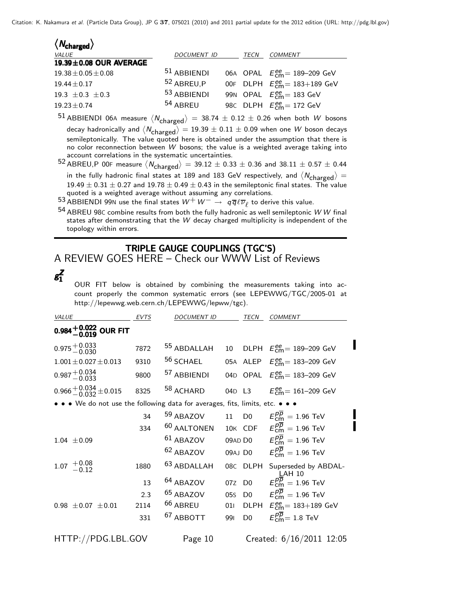| $\langle N_{\rm charged} \rangle$ |                     |      |                                         |
|-----------------------------------|---------------------|------|-----------------------------------------|
| VALUE                             | DOCUMENT ID         | TECN | COMMENT                                 |
| 19.39±0.08 OUR AVERAGE            |                     |      |                                         |
| $19.38 \pm 0.05 \pm 0.08$         | $51$ ABBIENDI       |      | 06A OPAL $E_{cm}^{ee}$ = 189-209 GeV    |
| $19.44 \pm 0.17$                  | 52 ABREU.P          |      | 00F DLPH $E_{cm}^{ee} = 183 + 189$ GeV  |
| 19.3 $\pm$ 0.3 $\pm$ 0.3          | 53 ABBIENDI         |      | 99N OPAL $E_{\text{cm}}^{ee}$ = 183 GeV |
| $19.23 \pm 0.74$                  | <sup>54</sup> ABREU |      | 98C DLPH $E_{\text{cm}}^{ee}$ = 172 GeV |
| <b>F1</b>                         |                     |      |                                         |

 $^{51}$  ABBIENDI 06A measure  $\langle N_{\text{charge}} \rangle = 38.74 \pm 0.12 \pm 0.26$  when both *W* bosons decay hadronically and  $\langle N_{\text{charged}} \rangle = 19.39 \pm 0.11 \pm 0.09$  when one *W* boson decays semileptonically. The value quoted here is obtained under the assumption that there is no color reconnection between *W* bosons; the value is a weighted average taking into account correlations in the systematic uncertainties.

52 ABREU,P 00F measure  $\langle N_{\text{charged}} \rangle = 39.12 \pm 0.33 \pm 0.36$  and  $38.11 \pm 0.57 \pm 0.44$ in the fully hadronic final states at 189 and 183 GeV respectively, and  $\langle N_{\text{charged}} \rangle =$ <br>19.40  $\pm$  0.21  $\pm$  0.27 and 19.78  $\pm$  0.40  $\pm$  0.42 in the comilentario final states. The value  $19.49 \pm 0.31 \pm 0.27$  and  $19.78 \pm 0.49 \pm 0.43$  in the semileptonic final states. The value quoted is a weighted average without assuming any correlations.

53 ABBIENDI 99N use the final states  $W^+W^-\rightarrow q\overline{q}\ell\overline{\nu}_\ell$  to derive this value.

<sup>54</sup> ABREU 98<sup>C</sup> combine results from both the fully hadronic as well semileptonic *W W* final states after demonstrating that the *W* decay charged multiplicity is independent of the topology within errors.

# TRIPLE GAUGE COUPLINGS (TGC'S)

A REVIEW GOES HERE – Check our WWW List of Reviews

*gZ* 1*gZ*1

OUR FIT below is obtained by combining the measurements taking into account properly the common systematic errors (see LEPEWWG/TGC/2005-01 at http://lepewwg.web.cern.ch/LEPEWWG/lepww/tgc).

| VALUE                                                                         | <b>EVTS</b> | <b>DOCUMENT ID</b>     |        | TECN           | <b>COMMENT</b>                                             |
|-------------------------------------------------------------------------------|-------------|------------------------|--------|----------------|------------------------------------------------------------|
| 0.984 $^{+0.022}_{-0.019}$ OUR FIT                                            |             |                        |        |                |                                                            |
| $0.975 + 0.033$                                                               | 7872        | 55 ABDALLAH            |        |                | 10 DLPH $E_{\text{cm}}^{ee}$ = 189-209 GeV                 |
| $1.001 \pm 0.027 \pm 0.013$                                                   | 9310        | <sup>56</sup> SCHAEL   |        |                | 05A ALEP $E_{\text{cm}}^{\text{ee}} = 183-209 \text{ GeV}$ |
| $0.987 + 0.034$<br>-0.033                                                     | 9800        | 57 ABBIENDI            |        |                | 04D OPAL $E_{\text{cm}}^{ee} = 183 - 209 \text{ GeV}$      |
| $0.966 + 0.034 + 0.015$                                                       | 8325        | 58 ACHARD              | 04D L3 |                | $E_{\text{cm}}^{\text{ee}}$ = 161–209 GeV                  |
| • • • We do not use the following data for averages, fits, limits, etc. • • • |             |                        |        |                |                                                            |
|                                                                               | 34          | 59 ABAZOV              | 11     | D <sub>0</sub> | $E^{pp}_{cm} = 1.96$ TeV                                   |
|                                                                               | 334         | <sup>60</sup> AALTONEN |        |                | 10K CDF $E_{\text{cm}}^{pp} = 1.96 \text{ TeV}$            |
| $1.04 \pm 0.09$                                                               |             | $61$ ABAZOV            |        |                | 09AD D0 $E_{\text{cm}}^{p\overline{p}} = 1.96 \text{ TeV}$ |
|                                                                               |             | <sup>62</sup> ABAZOV   |        |                | 09AJ D0 $E_{\text{cm}}^{p\overline{p}} = 1.96 \text{ TeV}$ |
| $1.07 \begin{array}{c} +0.08 \\ -0.12 \end{array}$                            | 1880        | <sup>63</sup> ABDALLAH | 08C    | DLPH           | Superseded by ABDAL-<br>$\mathsf{L}$ AH 10                 |
|                                                                               | 13          | 64 ABAZOV              | 07Z    | D <sub>0</sub> | $E_{cm}^{p\overline{p}}=1.96$ TeV                          |
|                                                                               | 2.3         | <sup>65</sup> ABAZOV   | 05s    | D <sub>0</sub> | $E_{cm}^{p\overline{p}}=1.96$ TeV                          |
| $0.98 \pm 0.07 \pm 0.01$                                                      | 2114        | <sup>66</sup> ABREU    | 011    |                | DLPH $E_{\text{cm}}^{ee}$ = 183+189 GeV                    |
|                                                                               | 331         | <sup>67</sup> ABBOTT   | 991    | D <sub>0</sub> | $E_{cm}^{pp}$ = 1.8 TeV                                    |
| HTTP://PDG.LBL.GOV                                                            |             | Page 10                |        |                | Created: 6/16/2011 12:05                                   |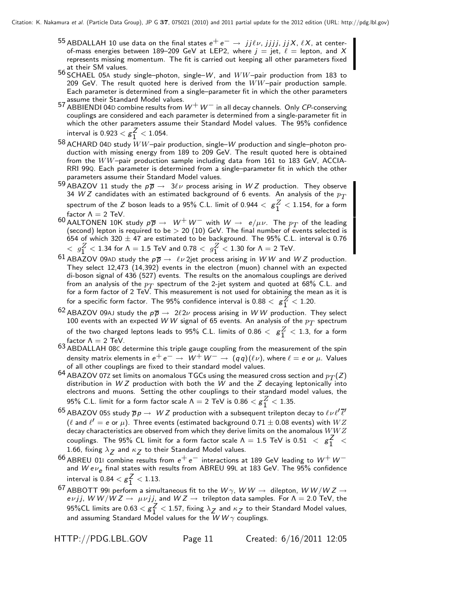- 55 ABDALLAH 10 use data on the final states  $e^+e^-$  → *jjlv*, *jjjj*, *jjX*, *lX*, at center-<br>of-mass energies between 189–209 GeV at LEP2 where  $i =$  iet  $\ell =$  lenton, and X of-mass energies between 189–209 GeV at LEP2, where  $j = \text{jet}, \ \ell = \text{lepton}, \ \text{and} \ X$ <br>represents missing momentum. The fit is carried out keeping all other parameters fixed represents missing momentum. The fit is carried out keeping all other parameters fixed at their SM values.
- <sup>56</sup> SCHAEL 05<sup>A</sup> study single–photon, single–*W*, and WW–pair production from 183 to 209 GeV. The result quoted here is derived from the  $WW$ -pair production sample. Each parameter is determined from a single–parameter fit in which the other parameters assume their Standard Model values.
- <sup>57</sup> ABBIENDI 04<sup>D</sup> combine results from *W*+*W*<sup>−</sup> in all decay channels. Only *CP*-conserving couplings are considered and each parameter is determined from a single-parameter fit in which the other parameters assume their Standard Model values. The 95% confidence interval is  $0.923 < g_{1}^{2} < 1.054$ .
- <sup>58</sup> ACHARD 04<sup>D</sup> study WW–pair production, single–*W* production and single–photon production with missing energy from 189 to 209 GeV. The result quoted here is obtained from the WW–pair production sample including data from 161 to 183 GeV, ACCIA-RRI 99Q. Each parameter is determined from a single–parameter fit in which the other parameters assume their Standard Model values.
- 59 ABAZOV 11 study the  $p\overline{p} \to 3\ell\nu$  process arising in W Z production. They observe 34 W Z candidates with an estimated background of 6 events. An analysis of the  $p_T$ 34 *W Z* candidates with an estimated background of 6 events. An analysis of the  $p_T$ <br>spectrum of the Z boson leads to a 95% C L limit of 0.944  $\rm <$   $\sigma^Z$   $\rm <$  1.154 for a form spectrum of the *Z* boson leads to a 95% C.L. limit of 0.944  $< g_1^2 < 1.154$ , for a form<br>factor A = 2 ToV factor  $\Lambda = 2$  TeV.
- 60 AALTONEN 10K study  $p\overline{p} \rightarrow W^+W^-$  with  $W \rightarrow e/\mu\nu$ . The  $p_T$  of the leading (second) lepton is required to be  $> 20$  (10) GeV. The final number of events selected is 654 of which 320  $\pm$  47 are estimated to be background. The 95% C.L. interval is 0.76  $\langle g_1^2 \rangle < 1.34$  for Λ = 1.5 TeV and 0.78  $\langle g_1^2 \rangle < 1.30$  for Λ = 2 TeV.
- 61 ABAZOV 09AD study the  $p\overline{p} \to \ell \nu$  2jet process arising in WW and WZ production. They select 12,473 (14,392) events in the electron (muon) channel with an expected di-boson signal of 436 (527) events. The results on the anomalous couplings are derived from an analysis of the  $p_T$  spectrum of the 2-jet system and quoted at 68% C.L. and for a form factor of  $2 \text{ TeV}$ . This measurement is not used for obtaining the mean as it is for a specific form factor. The 95% confidence interval is  $0.88 < g<sup>2</sup> < 1.20$ .
- $62$  ABAZOV 09AJ study the  $p\overline{p} \rightarrow 2\ell 2\nu$  process arising in WW production. They select 100 events with an expected WW signal of 65 events. An analysis of the  $p_T$  spectrum of the two charged leptons leads to 95% C.L. limits of 0.86  $<$   $g_1^2$   $<$  1.3, for a form<br>factor A  $=$  2 ToV factor  $\Lambda = 2$  TeV.
- 63 ABDALLAH 08<sup>C</sup> determine this triple gauge coupling from the measurement of the spin density matrix elements in  $e^+e^- \rightarrow W^+W^- \rightarrow (qq)(\ell \nu)$ , where  $\ell = e$  or  $\mu$ . Values of all other couplings are fixed to their standard model values.
- $^{64}$  ABAZOV 072 set limits on anomalous TGCs using the measured cross section and  $p_T(Z)$ distribution in *W Z* production with both the *W* and the *Z* decaying leptonically into electrons and muons. Setting the other couplings to their standard model values, the 95% C.L. limit for a form factor scale  $\Lambda = 2$  TeV is  $0.86 < g_1^2 < 1.35$ .
- $^{65}$  ABAZOV 05S study  $\overline{p}p \to \ WZ$  production with a subsequent trilepton decay to  $\ell\nu\ell'\overline{\ell}'$ ( $\ell$  and  $\ell'=$  e or  $\mu$ ). Three events (estimated background 0.71  $\pm$  0.08 events) with  $WZ$ decay characteristics are observed from which they derive limits on the anomalous  $WWZ$ couplings. The 95% CL limit for a form factor scale  $Λ = 1.5$  TeV is  $0.51 < g<sup>2</sup><sub>1</sub> < 1.66$ , fixing  $λ = 2rd$  is their Standard Model values. 1.66, fixing  $\lambda_Z$  and  $\kappa_Z$  to their Standard Model values.
- <sup>66</sup> ABREU 01<sup>I</sup> combine results from *e*<sup>+</sup> *e*<sup>−</sup> interactions at 189 GeV leading to *W*+*W*<sup>−</sup> and *Wev<sub>e</sub>* final states with results from ABREU 99L at 183 GeV. The 95% confidence interval is  $0.84 < g_{1}^{2} < 1.13$ .
- $^{67}$  ABBOTT 991 perform a simultaneous fit to the  $W\gamma$ ,  $WW\rightarrow$  dilepton,  $WW/WZ\rightarrow$ *evjj, W W/W Z*  $\rightarrow \mu\nu j j$ , and *W Z*  $\rightarrow$  trilepton data samples. For  $\Lambda = 2.0$  TeV, the 95%CL limits are 0.63  $<$   $g_1^2$   $<$  1.57, fixing  $\lambda_Z$  and  $\kappa_Z$  to their Standard Model values,<br>and assuming Standard Model values for the *W W*  $\gamma$  couplings. and assuming Standard Model values for the  $\overline{W}W\gamma$  couplings.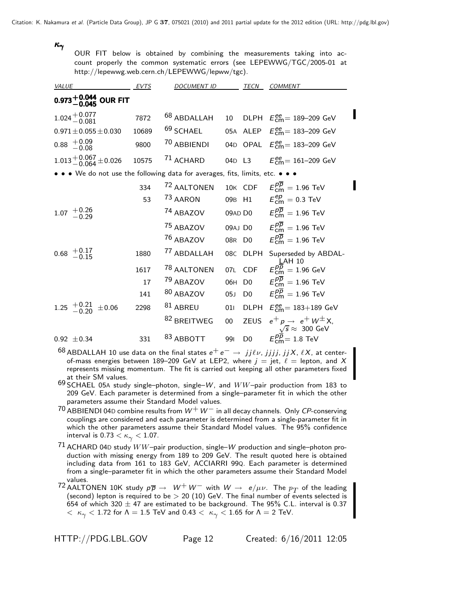# $\kappa_\gamma$

OUR FIT below is obtained by combining the measurements taking into account properly the common systematic errors (see LEPEWWG/TGC/2005-01 at http://lepewwg.web.cern.ch/LEPEWWG/lepww/tgc).

| <b>VALUE</b>                                                                | <b>EVTS</b> | <b>DOCUMENT ID</b>     |        | <b>TECN</b>    | <b>COMMENT</b>                                             |
|-----------------------------------------------------------------------------|-------------|------------------------|--------|----------------|------------------------------------------------------------|
| $0.973^{+0.044}_{-0.045}$ OUR FIT                                           |             |                        |        |                |                                                            |
| $1.024 + 0.077$                                                             | 7872        | 68 ABDALLAH            | 10     |                | DLPH $E_{\text{cm}}^{ee}$ = 189-209 GeV                    |
| $0.971 \pm 0.055 \pm 0.030$                                                 | 10689       | $69$ SCHAEL            |        |                | 05A ALEP $E_{\text{cm}}^{ee}$ = 183-209 GeV                |
| $+0.09$<br>$-0.08$<br>0.88                                                  | 9800        | <sup>70</sup> ABBIENDI |        |                | 04D OPAL $E_{\text{cm}}^{ee} = 183 - 209 \text{ GeV}$      |
| $1.013 + 0.067 + 0.026$                                                     | 10575       | <sup>71</sup> ACHARD   | 04D L3 |                | $E_{\text{cm}}^{\text{ee}} = 161 - 209 \text{ GeV}$        |
| • • We do not use the following data for averages, fits, limits, etc. • • • |             |                        |        |                |                                                            |
|                                                                             | 334         | 72 AALTONEN            |        |                | 10K CDF $E_{\text{cm}}^{pp} = 1.96 \text{ TeV}$            |
|                                                                             | 53          | 73 AARON               |        |                | 09B H1 $E_{cm}^{ep} = 0.3 \text{ TeV}$                     |
| $+0.26$<br>-0.29<br>1.07                                                    |             | 74 ABAZOV              |        | 09AD D0        | $E_{cm}^{pp} = 1.96$ TeV                                   |
|                                                                             |             | 75 ABAZOV              |        | 09AJ D0        | $E_{cm}^{p\overline{p}}=1.96$ TeV                          |
|                                                                             |             | 76 ABAZOV              | 08R D0 |                | $E_{cm}^{pp} = 1.96$ TeV                                   |
| $+0.17$<br>$-0.15$<br>0.68                                                  | 1880        | <sup>77</sup> ABDALLAH |        | 08C DLPH       | Superseded by ABDAL-<br><b>LAH 10</b>                      |
|                                                                             | 1617        | 78 AALTONEN            | 07L    | <b>CDF</b>     | $E_{cm}^{pp} = 1.96$ GeV                                   |
|                                                                             | 17          | 79 ABAZOV              | 06H    | D <sub>0</sub> | $E_{cm}^{pp} = 1.96$ TeV                                   |
|                                                                             | 141         | 80 ABAZOV              | 05J    | D <sub>0</sub> | $E_{\text{cm}}^{pp} = 1.96 \text{ TeV}$                    |
| 1.25 $^{+0.21}_{-0.20}$ ±0.06                                               | 2298        | $81$ ABREU             | 011    |                | DLPH $E_{\text{cm}}^{ee}$ = 183+189 GeV                    |
|                                                                             |             | 82 BREITWEG            | $00\,$ | <b>ZEUS</b>    | $e^+ p \rightarrow e^+ W^{\pm} X$                          |
| $0.92 \pm 0.34$                                                             | 331         | 83 ABBOTT              | 991    | D <sub>0</sub> | $\frac{\sqrt{s}}{E_{\text{cm}}^{p\overline{p}}}$ = 1.8 TeV |

 $^{68}$  ABDALLAH 10 use data on the final states  $e^+e^-$  → *jjlv*, *jjjj*, *jjX*, *lX*, at centerof-mass energies between 189–209 GeV at LEP2, where  $j = jet$ ,  $\ell =$  lepton, and X represents missing momentum. The fit is carried out keeping all other parameters fixed at their SM values.

<sup>69</sup> SCHAEL 05<sup>A</sup> study single–photon, single–*W*, and WW–pair production from 183 to 209 GeV. Each parameter is determined from a single–parameter fit in which the other parameters assume their Standard Model values.

- <sup>70</sup> ABBIENDI 04<sup>D</sup> combine results from *W*+*W*<sup>−</sup> in all decay channels. Only *CP*-conserving couplings are considered and each parameter is determined from a single-parameter fit in which the other parameters assume their Standard Model values. The 95% confidence interval is  $0.73 < \kappa_{\gamma} < 1.07$ .
- <sup>71</sup> ACHARD 04<sup>D</sup> study WW–pair production, single–*W* production and single–photon production with missing energy from 189 to 209 GeV. The result quoted here is obtained including data from 161 to 183 GeV, ACCIARRI 99Q. Each parameter is determined from a single–parameter fit in which the other parameters assume their Standard Model values.

72 AALTONEN 10K study  $p\overline{p} \rightarrow W^+W^-$  with  $W \rightarrow e/\mu\nu$ . The  $p_T$  of the leading (second) lepton is required to be  $> 20$  (10) GeV. The final number of events selected is 654 of which 320  $\pm$  47 are estimated to be background. The 95% C.L. interval is 0.37  $0 < \kappa_{\gamma} < 1.72$  for  $\Lambda = 1.5$  TeV and  $0.43 < \kappa_{\gamma} < 1.65$  for  $\Lambda = 2$  TeV.

П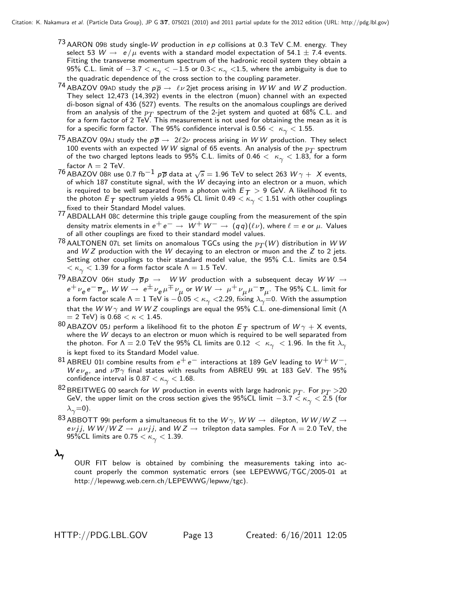- <sup>73</sup> AARON 09<sup>B</sup> study single-*W* production in *e p* collisions at 0.3 TeV C.M. energy. They select 53  $W \rightarrow e/\mu$  events with a standard model expectation of 54.1  $\pm$  7.4 events. Fitting the transverse momentum spectrum of the hadronic recoil system they obtain a 95% C.L. limit of  $-3.7 < \kappa_{\gamma} < -1.5$  or 0.3 $< \kappa_{\gamma} <$ 1.5, where the ambiguity is due to the quadratic dependence of the cross section to the coupling parameter.
- 74 ABAZOV 09AD study the  $p\overline{p} \to \ell \nu$  2jet process arising in *WW* and *WZ* production. They select 12,473 (14,392) events in the electron (muon) channel with an expected di-boson signal of 436 (527) events. The results on the anomalous couplings are derived from an analysis of the  $p_T$  spectrum of the 2-jet system and quoted at 68% C.L. and for a form factor of  $2 \text{ TeV}$ . This measurement is not used for obtaining the mean as it is for a specific form factor. The 95% confidence interval is 0.56  $<~\kappa_{\gamma} < 1.55$ .
- <sup>75</sup> ABAZOV 09AJ study the  $p\overline{p} \to 2\ell 2\nu$  process arising in W W production. They select 100 events with an expected W W signal of 65 events. An analysis of the  $p_T$  spectrum 100 events with an expected *W W* signal of 65 events. An analysis of the  $p_T$  spectrum of the two charged leptons leads to 95% C.L. limits of 0.46  $<~\kappa_{\sim} < 1.83$ , for a form of the two charged leptons leads to 95% C.L. limits of 0.46  $<~\kappa_\gamma<$  1.83, for a form<br>factor Λ = 2 TeV. factor  $\Lambda = 2$  TeV.
- 76 ABAZOV 08R use 0.7 fb<sup>-1</sup>  $p\overline{p}$  data at  $\sqrt{s} = 1.96$  TeV to select 263  $W\gamma + X$  events, of which 187 constitute signal, with the *W* decaying into an electron or a muon, which is required to be well separated from a photon with  $E_T > 9$  GeV. A likelihood fit to is required to be well separated from a photon with  $E_{\mathcal{T}} > 9$  GeV. A likelihood fit to<br>the photon  $E_{\mathcal{T}}$  spectrum yields a 95% CL limit 0.49  $<\kappa_\gamma < 1.51$  with other couplings the photon  $E_{\mathcal{T}}$  spectrum yields a 95% CL limit 0.49  $<\kappa_\gamma< 1.51$  with other couplings<br>fixed to their Standard Model values. fixed to their Standard Model values.
- 77 ABDALLAH 08<sup>C</sup> determine this triple gauge coupling from the measurement of the spin density matrix elements in  $e^+e^- \rightarrow W^+W^- \rightarrow (qq)(\ell \nu)$ , where  $\ell = e$  or  $\mu$ . Values of all other couplings are fixed to their standard model values.
- $78$  AALTONEN 07L set limits on anomalous TGCs using the  $p_T(W)$  distribution in WW and *W Z* production with the *W* decaying to an electron or muon and the *Z* to 2 jets. Setting other couplings to their standard model value, the 95% C.L. limits are 0.54  $<\kappa_\gamma<$  1.39 for a form factor scale  $\Lambda=$  1.5 TeV.
- $79$  ABAZOV 06H study  $\overline{p}p \rightarrow WW$  production with a subsequent decay  $WW \rightarrow WW$  $e^+ \nu_e e^- \overline{\nu}_e$ ,  $W W \to e^{\pm} \nu_e \mu^{\mp} \nu_\mu$  or  $WW \to \mu^+ \nu_\mu \mu^- \overline{\nu}_\mu$ . The 95% C.L. limit for a form factor scale  $\Lambda = 1$  TeV is  $-0.05 < \kappa_{\gamma} < 2.29$ , fixing  $\lambda_{\gamma} = 0$ . With the assumption that the *W W* γ and *WWZ* couplings are equal the 95% C.L. one-dimensional limit (Λ  $= 2$  TeV) is 0.68  $< \kappa < 1.45$ .
- $^{80}$  ABAZOV 05J perform a likelihood fit to the photon  $E_\mathcal{T}$  spectrum of  $W\gamma$  + X events, where the *W* decays to an electron or muon which is required to be well separated from the photon. For  $\Lambda=$  2.0 TeV the 95% CL limits are 0.12  $<~\kappa_\gamma~<$  1.96. In the fit  $\lambda_\gamma$ is kept fixed to its Standard Model value.
- $^{81}$  ABREU 01। combine results from  $e^+ \, e^-$  interactions at 189 GeV leading to  $W^+ \, W^ W e \nu_e$ , and  $\nu \overline{\nu} \gamma$  final states with results from ABREU 99L at 183 GeV. The 95% confidence interval is  $0.87 < \kappa_{\gamma} < 1.68$ .
- $^{82}$ BREITWEG 00 search for  $W$  production in events with large hadronic  $p_T$ . For  $p_T$   $\!>$ 20 GeV, the upper limit on the cross section gives the 95%CL limit  $-3.7 < \kappa_{\gamma} < 2.5$  (for  $\lambda_{\gamma}=0$ ).
- $^{83}$  ABBOTT 991 perform a simultaneous fit to the  $W\gamma$ ,  $WW\rightarrow$  dilepton,  $WW/WZ\rightarrow$ *evjj, W W/W Z*  $\rightarrow \mu\nu j j$ , and *W Z*  $\rightarrow$  trilepton data samples. For  $\Lambda = 2.0$  TeV, the 95%CL limits are  $0.75 < \kappa_{\gamma} < 1.39$ .

 $λ<sub>γ</sub>$ 

OUR FIT below is obtained by combining the measurements taking into account properly the common systematic errors (see LEPEWWG/TGC/2005-01 at http://lepewwg.web.cern.ch/LEPEWWG/lepww/tgc).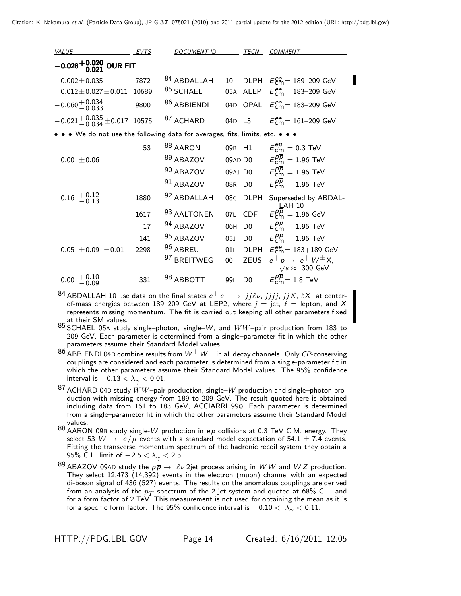| <b>VALUE</b>                                                                | EVTS  | <b>DOCUMENT ID</b>  |                 | TECN           | <b>COMMENT</b>                                                          |
|-----------------------------------------------------------------------------|-------|---------------------|-----------------|----------------|-------------------------------------------------------------------------|
| $-0.028^{+0.020}_{-0.021}$ OUR FIT                                          |       |                     |                 |                |                                                                         |
| $0.002 \pm 0.035$                                                           | 7872  | 84 ABDALLAH         | 10              |                | DLPH $E_{\text{cm}}^{ee}$ = 189-209 GeV                                 |
| $-0.012 \pm 0.027 \pm 0.011$                                                | 10689 | 85 SCHAEL           |                 |                | 05A ALEP $E_{\text{cm}}^{\text{ee}} = 183-209 \text{ GeV}$              |
| $-0.060 + 0.034$                                                            | 9800  | 86 ABBIENDI         | 04 <sub>D</sub> |                | OPAL $E_{\text{cm}}^{\text{ee}} = 183-209 \text{ GeV}$                  |
| $-0.021 + 0.035 + 0.017$ 10575                                              |       | 87 ACHARD           | 04D L3          |                | $E_{\text{cm}}^{\text{ee}} = 161 - 209 \text{ GeV}$                     |
| • • We do not use the following data for averages, fits, limits, etc. • • • |       |                     |                 |                |                                                                         |
|                                                                             | 53    | <sup>88</sup> AARON | 09B H1          |                | $E_{\text{cm}}^{ep} = 0.3 \text{ TeV}$                                  |
| $0.00 \pm 0.06$                                                             |       | 89 ABAZOV           | 09AD D0         |                | $E_{cm}^{pp} = 1.96$ TeV                                                |
|                                                                             |       | 90 ABAZOV           |                 | 09AJ D0        | $E_{cm}^{pp} = 1.96$ TeV                                                |
|                                                                             |       | 91 ABAZOV           | 08 <sub>R</sub> | D <sub>0</sub> | $E_{cm}^{\overline{p}}=1.96$ TeV                                        |
| $+0.12$<br>-0.13<br>0.16                                                    | 1880  | 92 ABDALLAH         | 08C             | <b>DLPH</b>    | Superseded by ABDAL-<br>LAH 10                                          |
|                                                                             | 1617  | 93 AALTONEN         | 07L             | <b>CDF</b>     | $E_{cm}^{p\overline{p}}=1.96$ GeV                                       |
|                                                                             | 17    | 94 ABAZOV           | 06H             | D <sub>0</sub> | $E_{cm}^{pp} = 1.96$ TeV                                                |
|                                                                             | 141   | 95 ABAZOV           | 05J             | D <sub>0</sub> | $E_{cm}^{pp} = 1.96$ TeV                                                |
| $0.05 \pm 0.09 \pm 0.01$                                                    | 2298  | 96 ABREU            | 011             |                | DLPH $E_{\text{cm}}^{\text{ee}} = 183+189 \text{ GeV}$                  |
|                                                                             |       | 97 BREITWEG         | $00\,$          | <b>ZEUS</b>    | $e^+ p \rightarrow e^+ W^{\pm} X$<br>$\sqrt{s} \approx 300 \text{ GeV}$ |
| $^{+0.10}_{-0.09}$<br>0.00                                                  | 331   | 98 ABBOTT           | 991             | D <sub>0</sub> | $E_{cm}^{p\overline{p}}=1.8$ TeV                                        |
| $^{\circ}$                                                                  |       |                     |                 |                |                                                                         |

84 ABDALLAH 10 use data on the final states  $e^+e^-$  → *jjlv*, *jjjj*, *jjX*, *lX*, at center-<br>of-mass energies between 189–209 GeV at LEP2 where  $i =$  iet  $\ell =$  lepton, and X of-mass energies between 189–209 GeV at LEP2, where  $j = jet$ ,  $\ell =$  lepton, and X represents missing momentum. The fit is carried out keeping all other parameters fixed at their SM values.

<sup>85</sup> SCHAEL 05<sup>A</sup> study single–photon, single–*W*, and WW–pair production from 183 to 209 GeV. Each parameter is determined from a single–parameter fit in which the other parameters assume their Standard Model values.

<sup>86</sup> ABBIENDI 04<sup>D</sup> combine results from *W*+*W*<sup>−</sup> in all decay channels. Only *CP*-conserving couplings are considered and each parameter is determined from a single-parameter fit in which the other parameters assume their Standard Model values. The 95% confidence interval is  $-0.13 < \lambda_{\gamma} < 0.01$ .

<sup>87</sup> ACHARD 04<sup>D</sup> study WW–pair production, single–*W* production and single–photon production with missing energy from 189 to 209 GeV. The result quoted here is obtained including data from 161 to 183 GeV, ACCIARRI 99Q. Each parameter is determined from a single–parameter fit in which the other parameters assume their Standard Model values.

<sup>88</sup> AARON 09<sup>B</sup> study single-*W* production in *e p* collisions at 0.3 TeV C.M. energy. They select 53  $W \rightarrow e/\mu$  events with a standard model expectation of 54.1  $\pm$  7.4 events. Fitting the transverse momentum spectrum of the hadronic recoil system they obtain a 95% C.L. limit of  $-2.5 < \lambda_{\gamma} < 2.5$ .

 $^{89}$  ABAZOV 09AD study the  $p\overline{p} \rightarrow \ell \nu$  2jet process arising in *WW* and *WZ* production. They select 12,473 (14,392) events in the electron (muon) channel with an expected di-boson signal of 436 (527) events. The results on the anomalous couplings are derived from an analysis of the  $p_T$  spectrum of the 2-jet system and quoted at 68% C.L. and<br>for a form factor of 2 TeV. This measurement is not used for obtaining the mean as it is for a specific form factor. The 95% confidence interval is  $-0.10 < \lambda_{\gamma} < 0.11$ .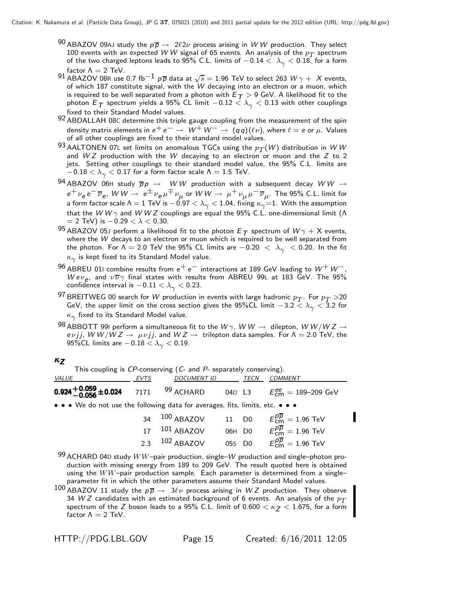- <sup>90</sup> ABAZOV 09AJ study the  $p\overline{p} \to 2\ell 2\nu$  process arising in W W production. They select 100 events with an expected W W signal of 65 events. An analysis of the  $p_T$  spectrum 100 events with an expected  $WW$  signal of 65 events. An analysis of the  $p_T$  spectrum<br>of the two charged leptons leads to 95% C.L. limits of  $-0.14 < \lambda_{\gamma} < 0.18$ , for a form of the two charged leptons leads to 95% C.L. limits of  $-0.14 < \ \lambda_{\gamma} < 0.18$ , for a form<br>factor Λ = 2 TeV. factor  $\Lambda = 2$  TeV.
- 91 ABAZOV 08R use 0.7 fb<sup>-1</sup>  $p\overline{p}$  data at  $\sqrt{s} = 1.96$  TeV to select 263  $W\gamma + X$  events, of which 187 constitute signal, with the *W* decaying into an electron or a muon, which is required to be well separated from a photon with  $E_T > 9$  GeV. A likelihood fit to the photon  $E_T$  spectrum yields a 95% CL limit  $-0.12 < \lambda_{\gamma} < 0.13$  with other couplings fixed to their Standard Model values.
- 92 ABDALLAH 08C determine this triple gauge coupling from the measurement of the spin density matrix elements in  $e^+e^- \rightarrow W^+W^- \rightarrow (qq)(\ell \nu)$ , where  $\ell = e$  or  $\mu$ . Values of all other couplings are fixed to their standard model values.
- 93 AALTONEN 07L set limits on anomalous TGCs using the  $p_T(W)$  distribution in *WW* and *W Z* production with the *W* decaying to an electron or muon and the *Z* to 2 jets. Setting other couplings to their standard model value, the 95% C.L. limits are  $-0.18 < \lambda_{\gamma} < 0.17$  for a form factor scale  $\Lambda = 1.5$  TeV.
- $94$  ABAZOV 06H study  $\overline{p}p \rightarrow WW$  production with a subsequent decay  $WW \rightarrow$ *e*<sup>+</sup>  $\nu_e$  *e*−  $\overline{\nu}_e$ , *W W*  $\rightarrow e^{\pm}$   $\nu_e$   $\mu^{\mp}$   $\nu_\mu$  or *W W*  $\rightarrow \mu^+$   $\nu_\mu$   $\mu^ \overline{\nu}_\mu$ . The 95% C.L. limit for<br>a form factor scale Λ = 1 TeV is −0.97 < λ, < 1.04. fixing  $\kappa_e$ =1. With the assumption a form factor scale Λ  $= 1$  TeV is  $-0.97 < \lambda_\gamma < 1.04$ , fixing  $\kappa_\gamma = 1$ . With the assumption<br>that the W W  $\gamma$  and W W Z couplings are equal the 95% C.L. one-dimensional limit (Λ that the *W W*  $\gamma$  and *W W Z* couplings are equal the 95% C.L. one-dimensional limit (Λ = 2 TeV) is  $-0.29 < \lambda < 0.30$ .  $= 2$  TeV) is  $-0.29 < \lambda < 0.30$ .
- <sup>95</sup> ABAZOV 05J perform a likelihood fit to the photon  $E_T$  spectrum of  $W\gamma + X$  events, where the  $W$  decays to an electron or muon which is required to be well separated from where the *W* decays to an electron or muon which is required to be well separated from the photon. For  $\Lambda = 2.0$  TeV the 95% CL limits are  $-0.20 < \lambda_{\gamma} < 0.20$ . In the fit  $\kappa_{\gamma}$  is kept fixed to its Standard Model value.
- <sup>96</sup> ABREU 01<sup>I</sup> combine results from *e*<sup>+</sup> *e*<sup>−</sup> interactions at 189 GeV leading to *W*<sup>+</sup> *W*−, *Wev<sub>e</sub>*, and  $\nu \overline{\nu} \gamma$  final states with results from ABREU 99L at 183 GeV. The 95% confidence interval is  $-0.11 < \lambda_{\gamma} < 0.23$ .
- <sup>97</sup> BREITWEG 00 search for *W* production in events with large hadronic  $p_T$ . For  $p_T > 20$ GeV, the upper limit on the cross section gives the 95%CL limit  $-3.2 < \lambda_{\gamma} < 3.2$  for  $\kappa_{\gamma}$  fixed to its Standard Model value.
- $^{98}$  ABBOTT 991 perform a simultaneous fit to the  $W\gamma$ ,  $WW\rightarrow$  dilepton,  $WW/WZ\rightarrow$ *evjj, W W/W Z*  $\rightarrow \mu\nu j j$ , and *W Z*  $\rightarrow$  trilepton data samples. For  $\Lambda = 2.0$  TeV, the 95%CL limits are  $-0.18 < \lambda_{\gamma} < 0.19$ .

#### κ*Z*

This coupling is *CP*-conserving (*C*- and *P*- separately conserving).

| <i>VALUE</i>                                                                                                          | <i>EVTS</i> | <b>DOCUMENT ID</b>                                |  | <i>TECN</i> | <i>COMMENT</i>                     |  |  |
|-----------------------------------------------------------------------------------------------------------------------|-------------|---------------------------------------------------|--|-------------|------------------------------------|--|--|
| 0.924 <sup>+</sup> 0.059 ± 0.024 7171 99 ACHARD                                                                       |             |                                                   |  |             | 04D L3 $E_{cm}^{ee} = 189-209$ GeV |  |  |
| $\bullet \bullet \bullet$ We do not use the following data for averages, fits, limits, etc. $\bullet \bullet \bullet$ |             |                                                   |  |             |                                    |  |  |
|                                                                                                                       |             | 34 $^{100}$ ABAZOV 11 D0 $E_{cm}^{pp} = 1.96$ TeV |  |             |                                    |  |  |

| $34 \quad 100$ ABAZOV     | 11 D <sub>0</sub> | $E_{\rm cm}^{pp}=1.96$ TeV              |
|---------------------------|-------------------|-----------------------------------------|
| $17 \quad 101$ ABAZOV     |                   | 06H D0 $E_{cm}^{pp} = 1.96 \text{ TeV}$ |
| 2.3 <sup>102</sup> ABAZOV | 05s D0            | $E_{\rm cm}^{pp}=1.96$ TeV              |
|                           |                   |                                         |

99 ACHARD 04D study  $WW$ -pair production, single– $W$  production and single-photon pro-<br>duction with missing energy from 189 to 209 GeV. The result quoted here is obtained duction with missing energy from 189 to 209 GeV. The result quoted here is obtained using the  $WW$ -pair production sample. Each parameter is determined from a singleparameter fit in which the other parameters assume their Standard Model values.

100 ABAZOV 11 study the  $p\overline{p} \to 3\ell\nu$  process arising in  $WZ$  production. They observe 34  $WZ$  candidates with an estimated background of 6 events. An analysis of the  $p_T$ 34 *W Z* candidates with an estimated background of 6 events. An analysis of the  $p_{\pmb{T}}$ <br>spectrum of the *Z* boson leads to a 95% C.L. limit of 0.600  $<$   $\kappa_{\pmb{Z}}$   $<$  1.675, for a form spectrum of the *<sup>Z</sup>* boson leads to a 95% C.L. limit of 0.600 < κ*Z* <sup>&</sup>lt; 1.675, for a form factor  $\Lambda = 2$  TeV.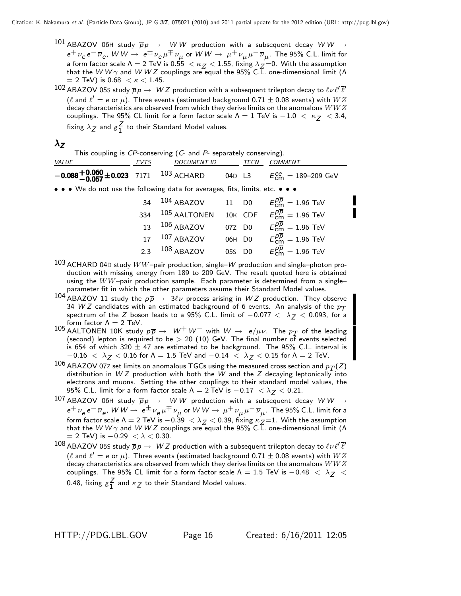- $^{101}$  ABAZOV 06H study  $\overline{p}p \rightarrow WW$  production with a subsequent decay  $WW \rightarrow$ *e*<sup>+</sup>  $\nu_e e^- \overline{\nu}_e$ , *W W*  $\rightarrow e^{\pm} \nu_e \mu^{\mp} \nu_{\mu}$  or *W W*  $\rightarrow \mu^+ \nu_{\mu} \mu^- \overline{\nu}_{\mu}$ . The 95% C.L. limit for<br>a form factor scale  $\Lambda = 2$  TeV is 0.55  $\langle \kappa_{\alpha} \times 1.55$ . fixing  $\lambda_{\alpha} = 0$ . With the assumption a form factor scale Λ = 2 TeV is 0.55  $\lt$  κ<sub>Z</sub>  $\lt$  1.55, fixing λ<sub>Z</sub>=0. With the assumption<br>that the *W W* γ and *W W Z* couplings are equal the 95% C.L. one-dimensional limit (Λ<br>= 2 TeV) is 0.68  $\lt$  κ  $\lt$  1.45  $= 2$  TeV) is 0.68  $< \kappa < 1.45$ .
- $102$  ABAZOV 05S study  $\overline{p}p \to \ WZ$  production with a subsequent trilepton decay to  $\ell \nu \ell' \overline{\ell'}$ ( $\ell$  and  $\ell' = e$  or  $\mu$ ). Three events (estimated background 0.71  $\pm$  0.08 events) with  $WZ$ decay characteristics are observed from which they derive limits on the anomalous  $WWZ$ couplings. The 95% CL limit for a form factor scale  $\Lambda = 1$  TeV is  $-1.0 < \kappa_Z < 3.4$ , fixing  $\lambda_Z$  and  $g_1^2$  to their Standard Model values.

# λ*Z*

This coupling is *CP*-conserving (*C*- and *P*- separately conserving).

| VALUE                                                                                                                 | <b>EVTS</b> | <b>DOCUMENT ID</b>                                       |        | TECN   | `OMMENT                                             |
|-----------------------------------------------------------------------------------------------------------------------|-------------|----------------------------------------------------------|--------|--------|-----------------------------------------------------|
| $-0.088 + 0.060 + 0.023$ 7171 $103$ ACHARD                                                                            |             |                                                          |        | 04D L3 | $E_{\text{cm}}^{\text{ee}} = 189 - 209 \text{ GeV}$ |
| $\bullet \bullet \bullet$ We do not use the following data for averages, fits, limits, etc. $\bullet \bullet \bullet$ |             |                                                          |        |        |                                                     |
|                                                                                                                       | 34          | 104 ABAZOV 11 D0 $E_{cm}^{\overline{p}} = 1.96$ TeV      |        |        |                                                     |
|                                                                                                                       | 334         | $105$ AALTONEN 10K CDF $E_{cm}^{p\overline{p}}=1.96$ TeV |        |        |                                                     |
|                                                                                                                       | 13          | $106$ ABAZOV                                             |        | 07Z D0 | $E_{cm}^{p\overline{p}}=1.96$ TeV                   |
|                                                                                                                       | 17          | $107$ ABAZOV                                             |        | 06H D0 | $E_{\text{cm}}^{p\overline{p}}=1.96$ TeV            |
|                                                                                                                       |             | 2.3 $108$ ABAZOV                                         | 05s D0 |        | $E_{cm}^{p\overline{p}}=1.96$ TeV                   |

- 2.3 <sup>108</sup> ABAZOV 05<sup>S</sup> D0 *Epp* <sup>103</sup> ACHARD 04<sup>D</sup> study WW–pair production, single–*W* production and single–photon production with missing energy from 189 to 209 GeV. The result quoted here is obtained using the  $WW$ -pair production sample. Each parameter is determined from a singleparameter fit in which the other parameters assume their Standard Model values.
- 104 ABAZOV 11 study the  $p\overline{p} \to 3\ell\nu$  process arising in  $WZ$  production. They observe 34  $WZ$  candidates with an estimated background of 6 events. An analysis of the  $p_T$ 34 *W Z* candidates with an estimated background of 6 events. An analysis of the  $p_{\pmb{T}}$ <br>spectrum of the *Z* boson leads to a 95% C.L. limit of  $-0.077 < \lambda_{\pmb{Z}} < 0.093,$  for a spectrum of the *<sup>Z</sup>* boson leads to a 95% C.L. limit of <sup>−</sup>0.<sup>077</sup> < λ*Z* <sup>&</sup>lt; 0.093, for a form factor  $\Lambda = 2$  TeV.
- 105 AALTONEN 10K study  $p\overline{p} \rightarrow W^+ W^-$  with  $W \rightarrow e/\mu \nu$ . The  $p\overline{T}$  of the leading (second) lepton is required to be  $> 20$  (10) GeV. The final number of events selected is 654 of which 320  $\pm$  47 are estimated to be background. The 95% C.L. interval is  $-0.16 < \lambda$ <sub>7</sub> < 0.16 for Λ = 1.5 TeV and  $-0.14 < \lambda$ <sub>7</sub> < 0.15 for Λ = 2 TeV.
- $^{106}$  ABAZOV 07z set limits on anomalous TGCs using the measured cross section and  $p_T^{}(\mathit{Z})$ distribution in *W Z* production with both the *W* and the *Z* decaying leptonically into electrons and muons. Setting the other couplings to their standard model values, the 95% C.L. limit for a form factor scale  $Λ = 2$  TeV is  $-0.17 < λ_Z < 0.21$ .<br>ABAZOV 06H study  $\overline{ρ}$   $\rightarrow$  *WW* production with a subsequent de
- 107 ABAZOV 06H study  $\overline{p}p \rightarrow WW$  production with a subsequent decay  $WW \rightarrow$ <br> $e^+ \cdots e^- \overline{w} = M/W \rightarrow e^{\pm} \cdots e^{\pm} \cdots e^{\pm} \cdots e^{\pm} \cdots e^{\pm} \cdots e^{\pm} \cdots e^{\pm} \cdots e^{\pm} \cdots e^{\pm} \cdots e^{\pm} \cdots e^{\pm} \cdots e^{\pm} \cdots e^{\pm} \cdots e^{\pm} \cdots e^{\pm} \cdots e^{\pm}$  $e^+\nu_e\,e^-\overline{\nu}_e$ , *W W* →  $e^{\pm}\nu_e\,\mu^{\mp}\nu_{\mu}$  or *W W* →  $\mu^+\nu_{\mu}\,\mu^-\overline{\nu}_{\mu}$ . The 95% C.L. limit for a<br>form factor scale A = 2 TeV is  $-0.39 < \lambda_Z < 0.39$ . fixing  $\kappa_Z=1$ . With the assumption form factor scale Λ = 2 TeV is −0.39  $\langle \lambda_Z \rangle$  < 0.39, fixing  $\kappa_Z$ =1. With the assumption that the *W W* γ and *W W Z* couplings are equal the 95% C.L. one-dimensional limit (Λ = 2 TeV) is −0.29  $\langle \lambda \rangle$  < 0.30  $= 2$  TeV) is  $-0.29 < \lambda < 0.30$ .
- $108$  ABAZOV 05S study  $\overline{p}p \to \ WZ$  production with a subsequent trilepton decay to  $\ell \nu \ell' \overline{\ell'}$ ( $\ell$  and  $\ell' = e$  or  $\mu$ ). Three events (estimated background 0.71  $\pm$  0.08 events) with  $WZ$ decay characteristics are observed from which they derive limits on the anomalous  $WWZ$ couplings. The 95% CL limit for a form factor scale  $\Lambda = 1.5$  TeV is  $-0.48 < \lambda_Z <$ 0.48, fixing  $g_1^2$  and  $\kappa_Z$  to their Standard Model values.

 $_{\rm cm}^{\rm \mu\rho} = 1.96$  TeV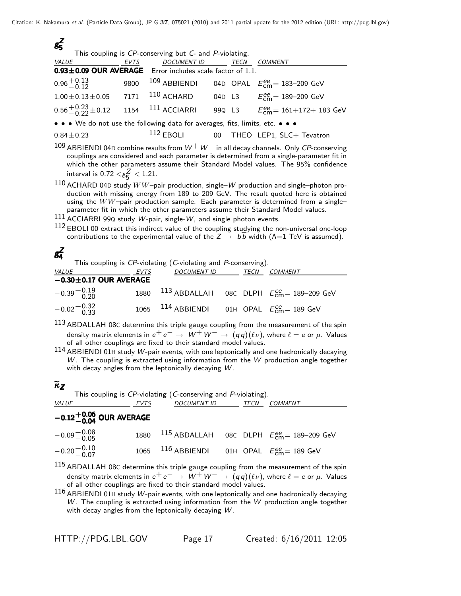| $g_5^Z$                                                                                                                                                                                                                                                                   |                                                        |              |  |      |                                            |  |  |  |  |
|---------------------------------------------------------------------------------------------------------------------------------------------------------------------------------------------------------------------------------------------------------------------------|--------------------------------------------------------|--------------|--|------|--------------------------------------------|--|--|--|--|
|                                                                                                                                                                                                                                                                           | This coupling is CP-conserving but C- and P-violating. |              |  |      |                                            |  |  |  |  |
| VALUE                                                                                                                                                                                                                                                                     | EVTS                                                   | DOCUMENT ID  |  | TECN | <b>COMMENT</b>                             |  |  |  |  |
| 0.93±0.09 OUR AVERAGE Error includes scale factor of 1.1.                                                                                                                                                                                                                 |                                                        |              |  |      |                                            |  |  |  |  |
| $0.96 + 0.13$                                                                                                                                                                                                                                                             | 9800                                                   | 109 ABBIENDI |  |      | 04D OPAL $E_{cm}^{ee} = 183 - 209$ GeV     |  |  |  |  |
| $1.00 \pm 0.13 \pm 0.05$ 7171                                                                                                                                                                                                                                             |                                                        | $110$ ACHARD |  |      | 04D L3 $E_{cm}^{ee} = 189-209$ GeV         |  |  |  |  |
| $0.56 + 0.23 + 0.12$ 1154 111 ACCIARRI                                                                                                                                                                                                                                    |                                                        |              |  |      | 99Q L3 $E_{cm}^{ee} = 161 + 172 + 183$ GeV |  |  |  |  |
| • • • We do not use the following data for averages, fits, limits, etc. • • •                                                                                                                                                                                             |                                                        |              |  |      |                                            |  |  |  |  |
| $0.84 \pm 0.23$                                                                                                                                                                                                                                                           |                                                        |              |  |      | 112 EBOLI 00 THEO LEP1, SLC+ Tevatron      |  |  |  |  |
| 109 ABBIENDI 04D combine results from $W^+W^-$ in all decay channels. Only CP-conserving<br>couplings are considered and each parameter is determined from a single-parameter fit in<br>which the other parameters assume their Standard Model values. The 95% confidence |                                                        |              |  |      |                                            |  |  |  |  |

interval is  $0.72 < g_{\overline{5}}^2 < 1.21$ .

<sup>110</sup> ACHARD 04<sup>D</sup> study WW–pair production, single–*W* production and single–photon production with missing energy from 189 to 209 GeV. The result quoted here is obtained using the  $WW$ -pair production sample. Each parameter is determined from a singleparameter fit in which the other parameters assume their Standard Model values.

<sup>111</sup> ACCIARRI 99<sup>Q</sup> study *W*-pair, single-*W*, and single photon events.

 $112$  EBOLI 00 extract this indirect value of the coupling studying the non-universal one-loop contributions to the experimental value of the  $Z \rightarrow b\overline{b}$  width ( $\Lambda$ =1 TeV is assumed).

# *gZ* 4*gZ*4

This coupling is *CP*-violating (*C*-violating and *P*-conserving).

| <u>VALUE</u>                 | EVTS | <b>DOCUMENT ID</b>                                      | TECN | <i>COMMENT</i>                                              |
|------------------------------|------|---------------------------------------------------------|------|-------------------------------------------------------------|
| $-0.30 \pm 0.17$ OUR AVERAGE |      |                                                         |      |                                                             |
| $-0.39 + 0.19$               |      |                                                         |      | 1880 $^{113}$ ABDALLAH 08C DLPH $E_{cm}^{ee}$ = 189-209 GeV |
| $-0.02 + 0.32$               |      | 1065 $^{114}$ ABBIENDI 01H OPAL $E_{cm}^{ee}$ = 189 GeV |      |                                                             |
| 11 2                         |      |                                                         |      |                                                             |

- $^{113}$  ABDALLAH 08C determine this triple gauge coupling from the measurement of the spin density matrix elements in  $e^+e^- \rightarrow W^+W^- \rightarrow (qq)(\ell \nu)$ , where  $\ell = e$  or  $\mu$ . Values of all other couplings are fixed to their standard model values.
- <sup>114</sup> ABBIENDI 01<sup>H</sup> study *W*-pair events, with one leptonically and one hadronically decaying *W*. The coupling is extracted using information from the *W* production angle together with decay angles from the leptonically decaying *W*.

# κ*Z*

| This coupling is CP-violating (C-conserving and P-violating). |      |                                                         |  |      |                                                             |  |  |
|---------------------------------------------------------------|------|---------------------------------------------------------|--|------|-------------------------------------------------------------|--|--|
| <i>VALUE</i>                                                  | EVTS | DOCUMENT ID                                             |  | TECN | COMMENT                                                     |  |  |
| $-0.12^{+0.06}_{-0.04}$ OUR AVERAGE                           |      |                                                         |  |      |                                                             |  |  |
| $-0.09 + 0.08$                                                |      |                                                         |  |      | 1880 $^{115}$ ABDALLAH 08C DLPH $E_{cm}^{ee}$ = 189-209 GeV |  |  |
| $-0.20 + 0.10$                                                |      | 1065 $^{116}$ ABBIENDI 01H OPAL $E_{cm}^{ee}$ = 189 GeV |  |      |                                                             |  |  |
| 11 E .                                                        |      |                                                         |  |      |                                                             |  |  |

 $^{115}$  ABDALLAH 08C determine this triple gauge coupling from the measurement of the spin density matrix elements in  $e^+e^- \rightarrow W^+W^- \rightarrow (qq)(\ell \nu)$ , where  $\ell = e$  or  $\mu$ . Values of all other couplings are fixed to their standard model values.

<sup>116</sup> ABBIENDI 01<sup>H</sup> study *W*-pair events, with one leptonically and one hadronically decaying *W*. The coupling is extracted using information from the *W* production angle together with decay angles from the leptonically decaying *W*.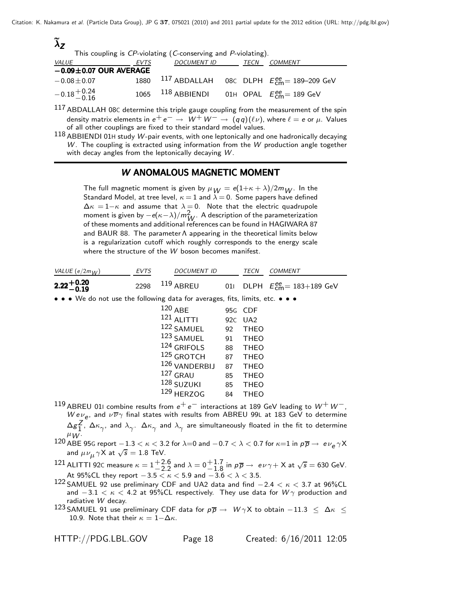| $\lambda$ z                  |      |                                                               |  |                                                                    |
|------------------------------|------|---------------------------------------------------------------|--|--------------------------------------------------------------------|
|                              |      | This coupling is CP-violating (C-conserving and P-violating). |  |                                                                    |
| <i>VALUE</i>                 | EVTS | DOCUMENT ID TECN COMMENT                                      |  |                                                                    |
| $-0.09 \pm 0.07$ OUR AVERAGE |      |                                                               |  |                                                                    |
| $-0.08 \pm 0.07$             |      |                                                               |  | 1880 $^{117}$ ABDALLAH 08C DLPH $E_{\text{cm}}^{ee}$ = 189-209 GeV |
| $-0.18 + 0.24$<br>$-0.16$    |      | 1065 $^{118}$ ABBIENDI 01H OPAL $E_{cm}^{ee}$ = 189 GeV       |  |                                                                    |
| 117                          |      |                                                               |  |                                                                    |

 $^{117}$  ABDALLAH 08C determine this triple gauge coupling from the measurement of the spin density matrix elements in  $e^+e^- \rightarrow W^+W^- \rightarrow (qq)(\ell \nu)$ , where  $\ell = e$  or  $\mu$ . Values of all other couplings are fixed to their standard model values.

<sup>118</sup> ABBIENDI 01<sup>H</sup> study *W*-pair events, with one leptonically and one hadronically decaying *W*. The coupling is extracted using information from the *W* production angle together with decay angles from the leptonically decaying *W*.

### *W* ANOMALOUS MAGNETIC MOMENT

The full magnetic moment is given by  $\mu_W = e(1+\kappa+\lambda)/2m_W$ . In the Standard Model, at tree level,  $\kappa = 1$  and  $\lambda = 0$ . Some papers have defined  $\Delta \kappa = 1 - \kappa$  and assume that  $\lambda = 0$ . Note that the electric quadrupole moment is given by  $\rho(\kappa - \lambda)/m^2 = \Lambda$  description of the parameterization moment is given by  $-e(\kappa-\lambda)/m_W^2$  . A description of the parameterization<br>of these moments and additional references can be found in HAGIWARA 87 of these moments and additional references can be found in HAGIWARA 87 and BAUR 88. The parameter Λ appearing in the theoretical limits below is a regularization cutoff which roughly corresponds to the energy scale where the structure of the *W* boson becomes manifest.

| VALUE $(e/2m_{1/})$                                                           | EVTS | <b>DOCUMENT ID</b> |     | TECN        | <b>COMMENT</b>                                         |
|-------------------------------------------------------------------------------|------|--------------------|-----|-------------|--------------------------------------------------------|
| $2.22 + 0.20$<br>-0.19                                                        | 2298 | $119$ ABREU        | 011 |             | DLPH $E_{\text{cm}}^{\text{ee}} = 183+189 \text{ GeV}$ |
| • • • We do not use the following data for averages, fits, limits, etc. • • • |      |                    |     |             |                                                        |
|                                                                               |      | $120$ ABE          |     | 95G CDF     |                                                        |
|                                                                               |      | $121$ ALITTI       |     | 92C UA2     |                                                        |
|                                                                               |      | 122 SAMUEL         | 92  | <b>THEO</b> |                                                        |
|                                                                               |      | 123 SAMUEL         | 91  | <b>THEO</b> |                                                        |
|                                                                               |      | 124 GRIFOLS        | 88  | <b>THEO</b> |                                                        |
|                                                                               |      | 125 GROTCH         | 87  | <b>THEO</b> |                                                        |
|                                                                               |      | 126 VANDERBIJ      | 87  | <b>THEO</b> |                                                        |
|                                                                               |      | $127$ GRAU         | 85  | <b>THEO</b> |                                                        |
|                                                                               |      | 128 SUZUKI         | 85  | <b>THEO</b> |                                                        |
|                                                                               |      | 129 HERZOG         | 84  | <b>THEO</b> |                                                        |

- <sup>119</sup> ABREU 01<sup>I</sup> combine results from *e*<sup>+</sup> *e*<sup>−</sup> interactions at 189 GeV leading to *W*<sup>+</sup> *W*−, *Wev<sub>e</sub>*, and  $\nu \overline{\nu} \gamma$  final states with results from ABREU 99L at 183 GeV to determine<br> $\Delta \sigma^Z$ ,  $\Delta \kappa$  and  $\lambda$ ,  $\Delta \kappa$  and  $\lambda$ , are simultaneously floated in the fit to determine  $\Delta g^Z_1$  ,  $\Delta \kappa_{\gamma}$ , and  $\lambda_{\gamma}$ .  $\Delta \kappa_{\gamma}$  and  $\lambda_{\gamma}$  are simultaneously floated in the fit to determine<br> $\mu$ W· <sup>μ</sup>*W* .
- 120 ABE 95G report −1.3 < κ < 3.2 for  $\lambda$ =0 and −0.7 <  $\lambda$  < 0.7 for  $\kappa$ =1 in  $p\overline{p}$  →  $e\nu$ <sub>e</sub> γ X and  $\mu$ ν. γ X at  $\sqrt{s}$  = 1.8 TeV. and  $\mu\nu_{\mu}\gamma$ X at  $\sqrt{s} = 1.8$  TeV.
- 121 ALITTI 92C measure  $\kappa = 1 + \frac{2.6}{-2.2}$  and  $\lambda = 0 + \frac{1.7}{-1.8}$  in  $p\overline{p} \rightarrow e\nu\gamma + X$  at  $\sqrt{s} = 630$  GeV. At 95%CL they report  $-3.5 < \kappa < 5.9$  and  $-3.6 < \lambda < 3.5$ .
- 122 SAMUEL 92 use preliminary CDF and UA2 data and find  $-2.4 < \kappa < 3.7$  at 96%CL and  $-3.1 < \kappa < 4.2$  at 95%CL respectively. They use data for  $W\gamma$  production and radiative *W* decay.
- 123 SAMUEL 91 use preliminary CDF data for  $p\overline{p} \rightarrow W\gamma X$  to obtain  $-11.3 < \Delta \kappa <$ 10.9. Note that their  $\kappa = 1-\Delta\kappa$ .

HTTP://PDG.LBL.GOV Page 18 Created: 6/16/2011 12:05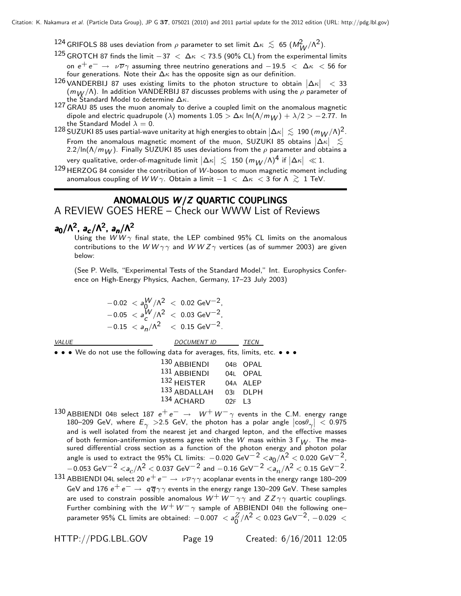$^{124}$  GRIFOLS 88 uses deviation from  $\rho$  parameter to set limit Δ $\kappa~\lesssim~$  65 ( $M_W^2/\Lambda^2$ ).<br> $^{125}$  GROTCH 87 finds the limit  $-37~<~\Lambda\kappa~<$  73.5 (90% CL) from the experimenta

- 125 GROTCH 87 finds the limit  $-37 < \Delta \kappa < 73.5$  (90% CL) from the experimental limits on  $e^+ e^- \rightarrow \nu \overline{\nu} \gamma$  assuming three neutrino generations and  $-19.5 < \Delta \kappa < 56$  for four generations. Note their  $\Delta \kappa$  has the opposite sign as our definition.
- 126 VANDERBIJ 87 uses existing limits to the photon structure to obtain  $|\Delta \kappa| < 33$ <br>(mu/() In addition VANDERBIJ 87 discusses problems with using the a parameter of  $(m_W/\Lambda)$ . In addition VANDERBIJ 87 discusses problems with using the  $\rho$  parameter of the Standard Model to determine  $\Delta \kappa$ .
- the Standard Model to determine Δκ. <sup>127</sup> GRAU 85 uses the muon anomaly to derive a coupled limit on the anomalous magnetic dipole and electric quadrupole ( $\lambda$ ) moments 1.05 >  $\Delta \kappa \ln(\Lambda/m_W) + \lambda/2$  > -2.77. In the Standard Model  $\lambda = 0$ .
- the Standard Model  $\lambda = 0$ .<br><sup>128</sup> SUZUKI 85 uses partial-wave unitarity at high energies to obtain  $|\Delta \kappa| \lesssim 190 (m_W/\Lambda)^2$ .<br>From the anomalous magnetic moment of the muon. SUZUKI 85 obtains  $|\Delta \kappa| \lesssim$ From the anomalous magnetic moment of the muon, SUZUKI 85 obtains  $|\Delta \kappa|$ <br>2.2/ln( $\Lambda/m_H$ ) Finally SUZUKI 85 uses deviations from the a parameter and obtain  $2.2/\ln(\Lambda/m_W)$ . Finally SUZUKI 85 uses deviations from the  $\rho$  parameter and obtains a
- very qualitative, order-of-magnitude limit  $|\Delta \kappa| \lesssim 150 \; (m_W/\Lambda)^4$  if  $|\Delta \kappa| \ll 1$ .<br>HERZOG 84 consider the contribution of W-boson to muon magnetic moment in
- <sup>129</sup> HERZOG 84 consider the contribution of *W*-boson to muon magnetic moment including anomalous coupling of  $W W \gamma$ . Obtain a limit  $-1 < \Delta \kappa < 3$  for  $\Lambda \gtrsim 1$  TeV.

## ANOMALOUS *W/Z* QUARTIC COUPLINGS

## A REVIEW GOES HERE – Check our WWW List of Reviews

# *a*<sub>0</sub>/Λ<sup>2</sup>, *a<sub><i>c*</sub>/Λ<sup>2</sup>, *a<sub>n</sub>*/Λ<sup>2</sup>

Using the *WW*  $\gamma$  final state, the LEP combined 95% CL limits on the anomalous contributions to the *W W*  $\gamma\gamma$  and *W W Z*  $\gamma$  vertices (as of summer 2003) are given below:

(See P. Wells, "Experimental Tests of the Standard Model," Int. Europhysics Conference on High-Energy Physics, Aachen, Germany, 17–23 July 2003)

$$
-0.02 < a_0^{W}/\Lambda^2 < 0.02 \text{ GeV}^{-2},
$$
\n
$$
-0.05 < a_c^{W}/\Lambda^2 < 0.03 \text{ GeV}^{-2},
$$
\n
$$
-0.15 < a_n/\Lambda^2 < 0.15 \text{ GeV}^{-2}.
$$

••• We do not use the following data for averages, fits, limits, etc. •••

| 130 ABBIENDI |          | 04B OPAL |
|--------------|----------|----------|
| 131 ABBIENDI |          | 04L OPAL |
| 132 HEISTER  |          | 04A ALEP |
| 133 ABDALLAH |          | 03I DLPH |
| 134 ACHARD   | $02F$ 13 |          |

- 130 ABBIENDI 04B select 187  $e^+e^- \rightarrow W^+W^-\gamma$  events in the C.M. energy range 180–209 GeV, where  $E_{\gamma} > 2.5$  GeV, the photon has a polar angle  $|\cos \theta_{\gamma}| < 0.975$ <br>and is well isolated from the nearest iet and charged lepton, and the effective masses 180–209 GeV, where  $E_\gamma$   $>$ 2.5 GeV, the photon has a polar angle  $\left|\cos\theta_\gamma\right|$   $<$  0.975 and is well isolated from the nearest jet and charged lepton, and the effective masses of both fermion-antifermion systems agree with the *<sup>W</sup>* mass within 3 Γ*W* . The mea-sured differential cross section as a function of the photon energy and photon polar angle is used to extract the 95% CL limits:  $-0.020 \text{ GeV}^{-2} < a_0/\Lambda^2 < 0.020 \text{ GeV}^{-2}$ ,  $-0.053 \text{ GeV}^{-2}$  < *a<sub>c</sub>*/ $\Lambda^2$  < 0.037 GeV<sup>-2</sup> and  $-0.16 \text{ GeV}^{-2}$  < *a<sub>n</sub>*/ $\Lambda^2$  < 0.15 GeV<sup>-2</sup>.
- 131 ABBIENDI 04L select 20  $e^+e^- \rightarrow \nu \overline{\nu} \gamma \gamma$  acoplanar events in the energy range 180–209 GeV and 176  $e^+e^- \rightarrow q\bar{q}\gamma\gamma$  events in the energy range 130–209 GeV. These samples are used to constrain possible anomalous  $W^+ \, W^- \, \gamma \gamma$  and  $ZZ \, \gamma \gamma$  quartic couplings. Further combining with the  $W^+W^-\gamma$  sample of ABBIENDI 04B the following one–<br>parameter 05% CI limits are shapped: 0.007 <  $\frac{Z}{12}$  (0.22 < 0.022 CeV $^{-2}$  0.029 < parameter 95% CL limits are obtained:  $-0.007 < a_0^Z/\Lambda^2 < 0.023$  GeV $^{-2}$ ,  $-0.029 <$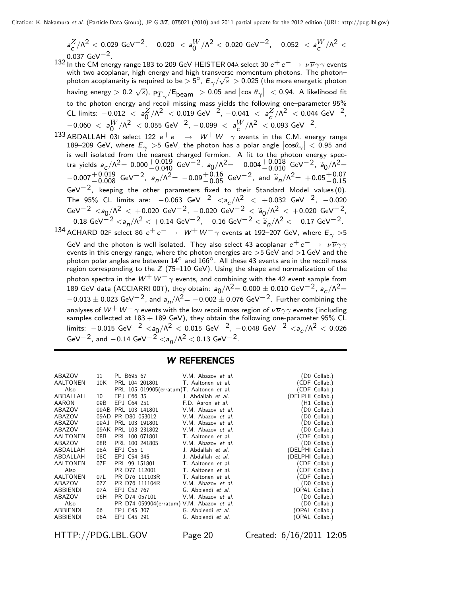$$
a_C^Z/\Lambda^2 < 0.029 \text{ GeV}^{-2}, -0.020 < a_0^W/\Lambda^2 < 0.020 \text{ GeV}^{-2}, -0.052 < a_C^W/\Lambda^2 < 0.037 \text{ GeV}^{-2}
$$

- 132 In the CM energy range 183 to 209 GeV HEISTER 04A select 30 *e*<sup>+</sup> *e*<sup>−</sup> → ννη events with two acoplanar, high energy and high transverse momentum photons. The photon– photon acoplanarity is required to be  $> 5^\circ$ ,  $E_\gamma/\sqrt{s} > 0.025$  (the more energetic photon<br>having energy  $> 0.2$ ,  $\sqrt{s}$ ), Pg.  $\sqrt{F}$ ,  $> 0.05$  and  $\cos \theta$   $\neq 0.94$ . A likelihood fit having energy  $> 0.2$   $\sqrt{s}$ ), p $_{T\gamma}/\textsf{E}_{\mathsf{beam}}>0.05$  and  $\left|\cos \theta_\gamma\right|~<$  0.94. A likelihood fit to the photon energy and recoil missing mass yields the following one–parameter 95% CL limits:  $-0.012 < a_0^Z/\Lambda^2 < 0.019 \text{ GeV}^{-2}$ ,  $-0.041 < a_C^Z/\Lambda^2 < 0.044 \text{ GeV}^{-2}$ ,<br>  $-0.060 < a_W^W/\Lambda^2 < 0.055 \text{ GeV}^{-2} - 0.099 < a_W^W/\Lambda^2 < 0.093 \text{ GeV}^{-2}$  $-0.060 < a_0^W/\Lambda^2 < 0.055 \text{ GeV}^{-2}$ ,  $-0.099 < a_C^W/\Lambda^2 < 0.093 \text{ GeV}^{-2}$ .<br>ARDALLAH\_03L select\_122 e<sup>+</sup> e<sup>-</sup> → W<sup>+</sup> W<sup>-</sup>  $\alpha$  events in the C\_M\_ener
- 133 ABDALLAH 03I select 122  $e^+e^- \rightarrow W^+W^-\gamma$  events in the C.M. energy range<br>189–209 GeV, where  $E \rightarrow 5$  GeV, the photon has a polar angle  $|\cos\theta| < 0.95$  and 189–209 GeV, where  $E_\gamma > 5$  GeV, the photon has a polar angle  $|\cos \theta_\gamma| < 0.95$  and<br>is well isolated from the nearest charged fermion. A fit to the photon energy spectra yields  $a_c/\Lambda^2 = 0.000^{+0.019}_{-0.040}$  GeV<sup>-2</sup>,  $a_0/\Lambda^2 = -0.004^{+0.018}_{-0.010}$  GeV<sup>-2</sup>,  $a_0/\Lambda^2 =$ <br>0.007<sup>+0.019</sup> GeV<sup>-2</sup>,  $a_0/\Lambda^2 = 0.00^{+0.16}_{-0.01}$  GeV<sup>-2</sup>, and  $\tilde{a}/\Lambda^2 = +0.05^{+0.07}$  $-0.007^{+0.019}_{-0.008}$  GeV<sup>-2</sup>,  $a_n/\Lambda^2$  =  $-0.09^{+0.16}_{-0.05}$  GeV<sup>-2</sup>, and  $\tilde{a}_n/\Lambda^2$  =  $+0.05^{+0.07}_{-0.15}$ <br>GeV<sup>-2</sup> keeping the other parameters fixed to their Standard Model values (0)  $GeV^{-2}$ , keeping the other parameters fixed to their Standard Model values (0). The 95% CL limits are:  $-0.063 \text{ GeV}^{-2} < a_c/\Lambda^2 < +0.032 \text{ GeV}^{-2}$ ,  $-0.020$ <br>GeV<sup>-2</sup> < ac/ $\Lambda^2$  < +0.020 GeV<sup>-2</sup> -0.020 GeV<sup>-2</sup> <  $\frac{2}{3}$ e/ $\Lambda^2$  < +0.020 GeV<sup>-2</sup> GeV<sup>-2</sup>  $\langle a_0/\Lambda^2 \rangle$  < +0.020 GeV<sup>-2</sup>, -0.020 GeV<sup>-2</sup>  $\langle a_0/\Lambda^2 \rangle$  +0.020 GeV<sup>-2</sup>, -0.12 G V=<sup>2</sup> <sup>−</sup>0.18 GeV−<sup>2</sup> <*an*/Λ<sup>2</sup> < +0.14 GeV−2, <sup>−</sup>0.16 GeV−<sup>2</sup> <sup>&</sup>lt; *an*/Λ<sup>2</sup> <sup>&</sup>lt; +0.17 GeV−2. 134 ACHARD 02F select 86  $e^+e^- \rightarrow W^+W^-\gamma$  events at 192–207 GeV, where  $E_\gamma > 5$

GeV and the photon is well isolated. They also select 43 acoplanar  $e^+e^-\rightarrow \nu\overline{\nu}\gamma\gamma$ events in this energy range, where the photon energies are >5 GeV and >1 GeV and the photon polar angles are between  $14^\circ$  and  $166^\circ$ . All these 43 events are in the recoil mass region corresponding to the *Z* (75–110 GeV). Using the shape and normalization of the photon spectra in the  $W^+W^-\gamma$  events, and combining with the 42 event sample from 189 GeV data (ACCIARRI 00T), they obtain:  $a_0/\Lambda^2 = 0.000 \pm 0.010$  GeV<sup>-2</sup>,  $a_c/\Lambda^2 =$  $-0.013 \pm 0.023$  GeV<sup>-2</sup>, and  $a_n/\Lambda^2 = -0.002 \pm 0.076$  GeV<sup>-2</sup>. Further combining the analyses of  $W^+W^-\gamma$  events with the low recoil mass region of  $\nu\overline{\nu}\gamma\gamma$  events (including samples collected at  $183 + 189$  GeV), they obtain the following one-parameter  $95\%$  CL limits: -0.015 GeV<sup>-2</sup> <*a*<sub>0</sub>/Λ<sup>2</sup> < 0.015 GeV<sup>-2</sup>, -0.048 GeV<sup>-2</sup> <*a<sub>c</sub>/Λ*<sup>2</sup> < 0.026 GeV<sup>-2</sup>, and -0.14 GeV<sup>-2</sup>  $\langle a_n/\Lambda^2 \rangle$  < 0.13 GeV<sup>-2</sup>.

#### W REFERENCES

| ABAZOV          | 11   | PL B695 67                                | V.M. Abazov et al. |                  | (D0 Collab.)   |
|-----------------|------|-------------------------------------------|--------------------|------------------|----------------|
| AALTONEN        | 10K  | PRL 104 201801                            | T. Aaltonen et al. |                  | (CDF Collab.)  |
| Also            |      | PRL 105 019905(erratum)T. Aaltonen et al. |                    |                  | (CDF Collab.)  |
| ABDALLAH        | 10   | EPJ C66 35                                | J. Abdallah et al. | (DELPHI Collab.) |                |
| AARON           | 09B  | EPJ C64 251                               | F.D. Aaron et al.  |                  | (H1 Collab.)   |
| ABAZOV          | 09AB | PRL 103 141801                            | V.M. Abazov et al. |                  | (D0 Collab.)   |
| ABAZOV          |      | 09AD PR D80 053012                        | V.M. Abazov et al. |                  | (D0 Collab.)   |
| ABAZOV          | 09AJ | PRL 103 191801                            | V.M. Abazov et al. |                  | (D0 Collab.)   |
| ABAZOV          | 09AK | PRL 103 231802                            | V.M. Abazov et al. |                  | (D0 Collab.)   |
| AALTONEN        | 08B  | PRL 100 071801                            | T. Aaltonen et al. |                  | (CDF Collab.)  |
| ABAZOV          | 08R  | PRL 100 241805                            | V.M. Abazov et al. |                  | (D0 Collab.)   |
| ABDALLAH        | 08A  | EPJ C55 1                                 | J. Abdallah et al. | (DELPHI Collab.) |                |
| ABDALLAH        | 08C  | EPJ C54 345                               | J. Abdallah et al. | (DELPHI Collab.) |                |
| AALTONEN        | 07F  | PRL 99 151801                             | T. Aaltonen et al. |                  | (CDF Collab.)  |
| Also            |      | PR D77 112001                             | T. Aaltonen et al. |                  | (CDF Collab.)  |
| AALTONEN        | 07L  | PR D76 111103R                            | T. Aaltonen et al. |                  | (CDF Collab.)  |
| ABAZOV          | 07Z  | PR D76 111104R                            | V.M. Abazov et al. |                  | (D0 Collab.)   |
| ABBIENDI        | 07A  | EPJ C52 767                               | G. Abbiendi et al. |                  | (OPAL Collab.) |
| ABAZOV          | 06H  | PR D74 057101                             | V.M. Abazov et al. |                  | (D0 Collab.)   |
| Also            |      | PR D74 059904(erratum) V.M. Abazov et al. |                    |                  | (D0 Collab.)   |
| ABBIENDI        | 06   | EPJ C45 307 G. Abbiendi et al.            |                    |                  | (OPAL Collab.) |
| <b>ABBIENDI</b> | 06A  | EPJ C45 291                               | G. Abbiendi et al. |                  | (OPAL Collab.) |
|                 |      |                                           |                    |                  |                |

HTTP://PDG.LBL.GOV Page 20 Created: 6/16/2011 12:05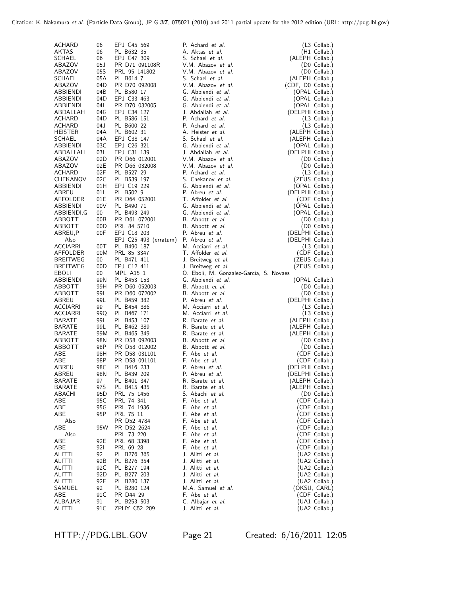| ACHARD                      | 06         | EPJ C45 569                           | P. Achard et al.                                   | $(L3$ Collab.)                     |
|-----------------------------|------------|---------------------------------------|----------------------------------------------------|------------------------------------|
| AKTAS                       | 06         | PL B632 35                            | A. Aktas et al.                                    | (H1 Collab.)                       |
| SCHAEL                      | 06         | EPJ C47 309                           | S. Schael et al.                                   | (ALEPH Collab.)                    |
| ABAZOV                      | 05J        | PR D71 091108R                        | V.M. Abazov et al.                                 | (D0 Collab.)                       |
| ABAZOV                      | 05S        | PRL 95 141802                         | V.M. Abazov et al.                                 | (D0 Collab.)                       |
| SCHAEL                      | 05A        | PL B614 7                             | S. Schael et al.                                   | (ALEPH Collab.)                    |
| ABAZOV                      | 04D        | PR D70 092008                         | V.M. Abazov et al.                                 | (CDF, D0 Collab.)                  |
| ABBIENDI<br>ABBIENDI        | 04B<br>04D | PL B580 17<br>EPJ C33 463             | G. Abbiendi et al.<br>G. Abbiendi et al.           | (OPAL Collab.)<br>(OPAL Collab.)   |
| ABBIENDI                    | 04L        | PR D70 032005                         | G. Abbiendi et al.                                 | (OPAL Collab.)                     |
| ABDALLAH                    | 04G        | EPJ C34 127                           | J. Abdallah et al.                                 | (DELPHI Collab.)                   |
| ACHARD                      | 04D        | PL B586 151                           | P. Achard et al.                                   | $(L3$ Collab.)                     |
| ACHARD                      | 04 J       | PL B600 22                            | P. Achard et al.                                   | $(L3$ Collab.)                     |
| <b>HEISTER</b>              | 04A        | PL B602 31                            | A. Heister et al.                                  | (ALEPH Collab.)                    |
| SCHAEL                      | 04A<br>03C | EPJ C38 147                           | S. Schael et al.<br>G. Abbiendi et al.             | (ALEPH Collab.)                    |
| ABBIENDI<br>ABDALLAH        | 031        | EPJ C26 321<br>EPJ C31 139            | J. Abdallah et al.                                 | (OPAL Collab.)<br>(DELPHI Collab.) |
| ABAZOV                      | 02D        | PR D66 012001                         | V.M. Abazov et al.                                 | (D0 Collab.)                       |
| ABAZOV                      | 02E        | PR D66 032008                         | V.M. Abazov et al.                                 | (D0 Collab.)                       |
| <b>ACHARD</b>               | 02F        | PL B527 29                            | P. Achard et al.                                   | (L3 Collab.)                       |
| CHEKANOV                    | 02C        | PL B539 197                           | S. Chekanov et al.                                 | (ZEUS Collab.)                     |
| ABBIENDI                    | 01H        | EPJ C19 229                           | G. Abbiendi et al.                                 | (OPAL Collab.)                     |
| ABREU                       | 011        | PL B502 9                             | P. Abreu et al.                                    | (DELPHI Collab.)                   |
| AFFOLDER<br>ABBIENDI        | 01E<br>00V | PR D64 052001<br>PL B490 71           | T. Affolder et al.<br>G. Abbiendi et al.           | (CDF Collab.)<br>(OPAL Collab.)    |
| ABBIENDI,G                  | 00         | PL B493 249                           | G. Abbiendi et al.                                 | (OPAL Collab.)                     |
| ABBOTT                      | 00B        | PR D61 072001                         | B. Abbott et al.                                   | (D0 Collab.)                       |
| ABBOTT                      | 00D        | PRL 84 5710                           | B. Abbott et al.                                   | (D0 Collab.)                       |
| ABREU,P                     | 00F        | EPJ C18 203                           | P. Abreu <i>et al.</i>                             | (DELPHI Collab.)                   |
| Also                        |            | EPJ C25 493 (erratum) P. Abreu et al. |                                                    | (DELPHI Collab.)                   |
| ACCIARRI                    | 00T        | PL B490 187                           | M. Acciarri et al.                                 | (L3 Collab.)                       |
| AFFOLDER<br><b>BREITWEG</b> | 00M<br>00  | PRL 85 3347<br>PL B471 411            | T. Affolder et al.<br>J. Breitweg <i>et al.</i>    | (CDF Collab.)                      |
| <b>BREITWEG</b>             | 00D        | EPJ C12 411                           | J. Breitweg et al.                                 | (ZEUS Collab.)<br>(ZEUS Collab.)   |
| EBOLI                       | 00         | MPL A15 1                             | O. Eboli, M. Gonzalez-Garcia, S. Novaes            |                                    |
| ABBIENDI                    | 99N        | PL B453 153                           | G. Abbiendi et al.                                 | (OPAL Collab.)                     |
| ABBOTT                      | 99H        | PR D60 052003                         | B. Abbott et al.                                   | (D0 Collab.)                       |
| ABBOTT                      | 991        | PR D60 072002                         | B. Abbott et al.                                   | (D0 Collab.)                       |
| ABREU                       | 99L        | PL B459 382                           | P. Abreu et al.                                    | (DELPHI Collab.)                   |
| ACCIARRI<br>ACCIARRI        | 99<br>99Q  | PL B454 386<br>PL B467 171            | M. Acciarri et al.<br>M. Acciarri et al.           | (L3 Collab.)<br>(L3 Collab.)       |
| BARATE                      | 991        | PL B453 107                           | R. Barate et al.                                   | (ALEPH Collab.)                    |
| BARATE                      | 99L        | PL B462 389                           | R. Barate et al.                                   | (ALEPH Collab.)                    |
| <b>BARATE</b>               | 99M        | PL B465 349                           | R. Barate et al.                                   | (ALEPH Collab.)                    |
| ABBOTT                      | 98N        | PR D58 092003                         | B. Abbott et al.                                   | (D0 Collab.)                       |
| ABBOTT                      | 98P        | PR D58 012002                         | B. Abbott et al.                                   | (D0 Collab.)                       |
| ABE                         | 98H        | PR D58 031101                         | F. Abe et al.                                      | (CDF Collab.)                      |
| ABE<br>ABREU                | 98P<br>98C | PR D58 091101<br>PL B416 233          | F. Abe et al.<br>P. Abreu et al.                   | (CDF Collab.)<br>(DELPHI Collab.)  |
| ABREU                       | 98N        | PL B439 209                           | P. Abreu <i>et al.</i>                             | (DELPHI Collab.)                   |
| BARATE                      | 97         | PL B401 347                           | R. Barate et al.                                   | (ALEPH Collab.)                    |
| BARATE                      | 97S        | PL B415 435                           | R. Barate et al.                                   | (ALEPH Collab.)                    |
| ABACHI                      | 95D        | PRL 75 1456                           | S. Abachi et al.                                   | (D0 Collab.)                       |
| ABE                         | 95C        | PRL 74 341                            | F. Abe <i>et al.</i>                               | (CDF Collab.)                      |
| ABE<br>ABE                  | 95G<br>95P | PRL 74 1936                           | F. Abe <i>et al.</i><br>F. Abe <i>et al.</i>       | (CDF Collab.)                      |
| Also                        |            | PRL 75 11<br>PR D52 4784              | F. Abe et al.                                      | (CDF Collab.)<br>(CDF Collab.)     |
| ABE                         | 95W        | PR D52 2624                           | F. Abe et al.                                      | (CDF Collab.)                      |
| Also                        |            | PRL 73 220                            | F. Abe et al.                                      | (CDF Collab.)                      |
| ABE                         | 92E        | PRL 68 3398                           | F. Abe <i>et al.</i>                               | (CDF Collab.)                      |
| ABE                         | 92I        | PRL 69 28                             | F. Abe <i>et al.</i>                               | (CDF Collab.)                      |
| <b>ALITTI</b>               | 92         | PL B276 365                           | J. Alitti et al.                                   | (UA2 Collab.)                      |
| ALITTI<br><b>ALITTI</b>     | 92B<br>92C | PL B276 354<br>PL B277 194            | J. Alitti <i>et al.</i><br>J. Alitti <i>et al.</i> | (UA2 Collab.)<br>(UA2 Collab.)     |
| ALITTI                      | 92D        | PL B277 203                           | J. Alitti <i>et al.</i>                            | (UA2 Collab.)                      |
| ALITTI                      | 92F        | PL B280 137                           | J. Alitti <i>et al.</i>                            | (UA2 Collab.)                      |
| SAMUEL                      | 92         | PL B280 124                           | M.A. Samuel et al.                                 | (OKSU, CARL)                       |
| ABE                         | 91 C       | PR D44 29                             | F. Abe et al.                                      | (CDF Collab.)                      |
| ALBAJAR                     | 91         | PL B253 503                           | C. Albajar et al.                                  | (UA1 Collab.)                      |
| ALITTI                      | 91C        | ZPHY C52 209                          | J. Alitti <i>et al.</i>                            | (UA2 Collab.)                      |

HTTP://PDG.LBL.GOV Page 21 Created: 6/16/2011 12:05